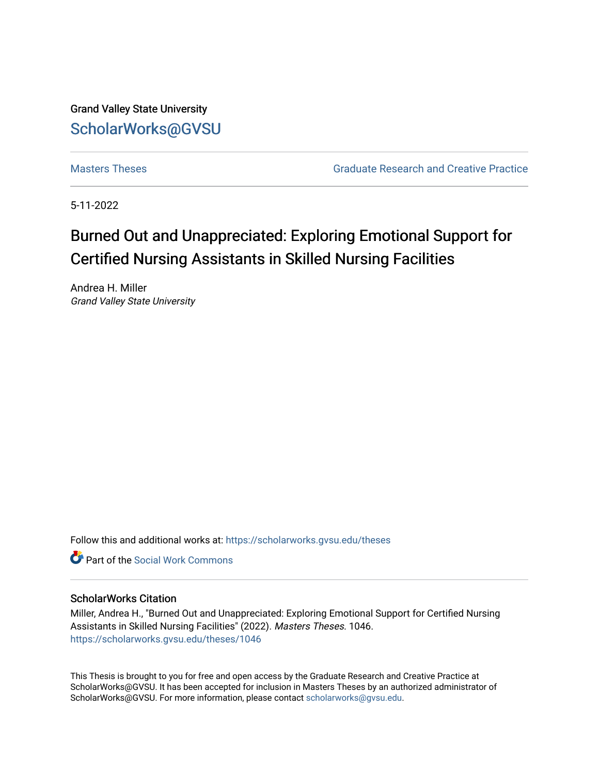Grand Valley State University [ScholarWorks@GVSU](https://scholarworks.gvsu.edu/) 

[Masters Theses](https://scholarworks.gvsu.edu/theses) [Graduate Research and Creative Practice](https://scholarworks.gvsu.edu/grcp) 

5-11-2022

# Burned Out and Unappreciated: Exploring Emotional Support for Certified Nursing Assistants in Skilled Nursing Facilities

Andrea H. Miller Grand Valley State University

Follow this and additional works at: [https://scholarworks.gvsu.edu/theses](https://scholarworks.gvsu.edu/theses?utm_source=scholarworks.gvsu.edu%2Ftheses%2F1046&utm_medium=PDF&utm_campaign=PDFCoverPages) 

**C** Part of the [Social Work Commons](https://network.bepress.com/hgg/discipline/713?utm_source=scholarworks.gvsu.edu%2Ftheses%2F1046&utm_medium=PDF&utm_campaign=PDFCoverPages)

### ScholarWorks Citation

Miller, Andrea H., "Burned Out and Unappreciated: Exploring Emotional Support for Certified Nursing Assistants in Skilled Nursing Facilities" (2022). Masters Theses. 1046. [https://scholarworks.gvsu.edu/theses/1046](https://scholarworks.gvsu.edu/theses/1046?utm_source=scholarworks.gvsu.edu%2Ftheses%2F1046&utm_medium=PDF&utm_campaign=PDFCoverPages)

This Thesis is brought to you for free and open access by the Graduate Research and Creative Practice at ScholarWorks@GVSU. It has been accepted for inclusion in Masters Theses by an authorized administrator of ScholarWorks@GVSU. For more information, please contact [scholarworks@gvsu.edu](mailto:scholarworks@gvsu.edu).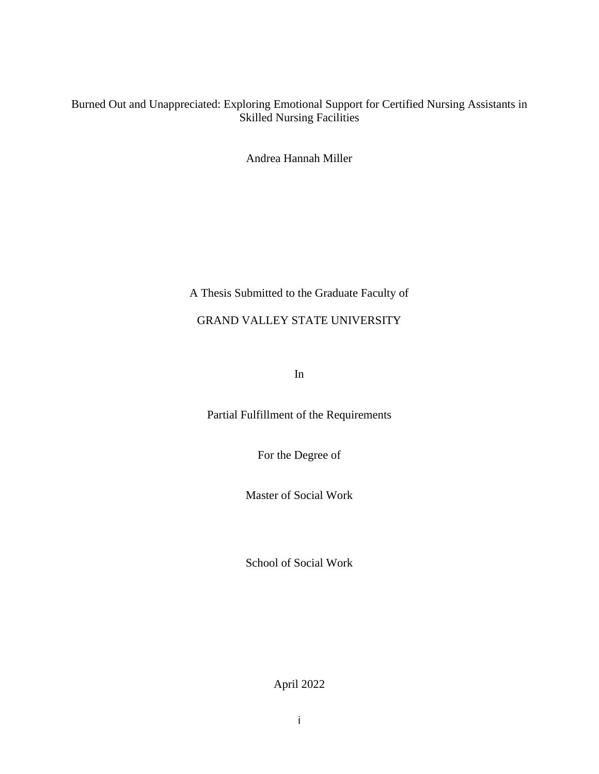# Burned Out and Unappreciated: Exploring Emotional Support for Certified Nursing Assistants in Skilled Nursing Facilities

Andrea Hannah Miller

# A Thesis Submitted to the Graduate Faculty of

# GRAND VALLEY STATE UNIVERSITY

In

Partial Fulfillment of the Requirements

For the Degree of

Master of Social Work

School of Social Work

April 2022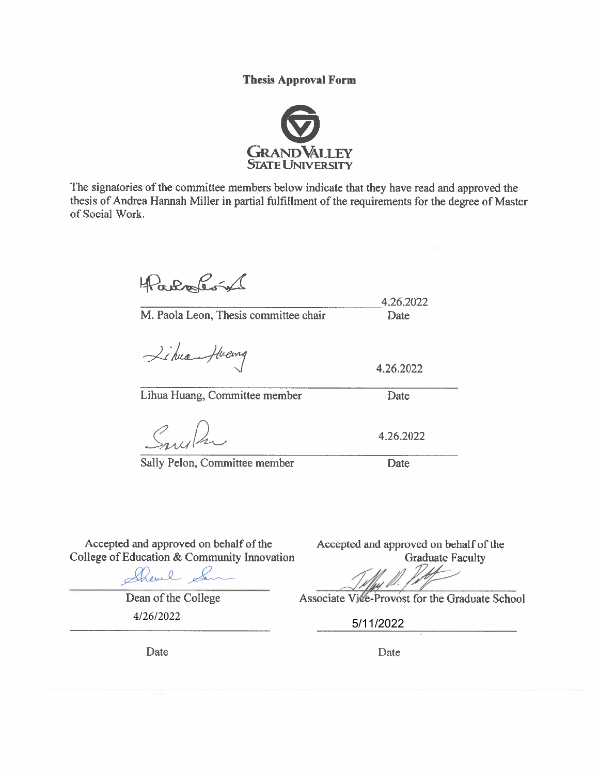**Thesis Approval Form** 



The signatories of the committee members below indicate that they have read and approved the thesis of Andrea Hannah Miller in partial fulfillment of the requirements for the degree of Master of Social Work.

Farbarin

4.26.2022 M. Paola Leon, Thesis committee chair Date

Libra-Heavy

Lihua Huang, Committee member

Sally Pelon, Committee member

4.26.2022 Date

4.26.2022

Date

Accepted and approved on behalf of the College of Education & Community Innovation

Shevel Le

Dean of the College 4/26/2022 5/11/2022

Accepted and approved on behalf of the **Graduate Faculty** 

Associate Ville-Provost for the Graduate School

Date

Date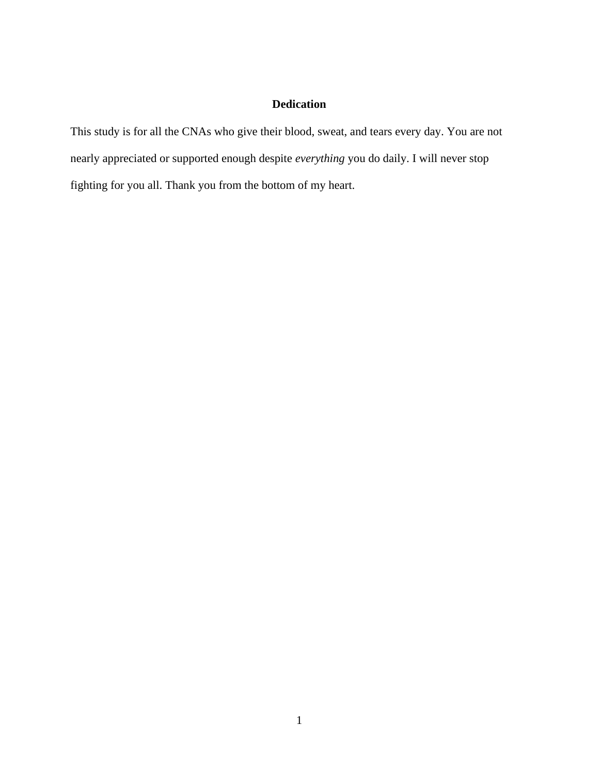# **Dedication**

This study is for all the CNAs who give their blood, sweat, and tears every day. You are not nearly appreciated or supported enough despite *everything* you do daily. I will never stop fighting for you all. Thank you from the bottom of my heart.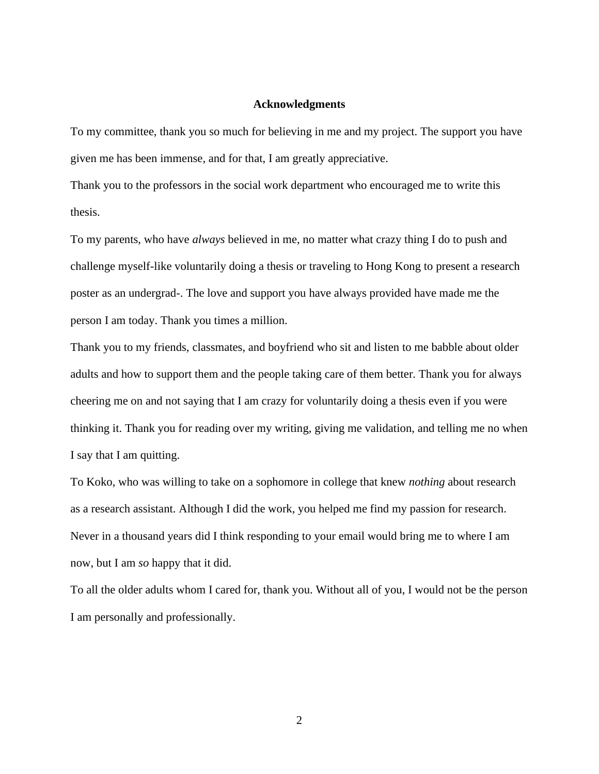### **Acknowledgments**

To my committee, thank you so much for believing in me and my project. The support you have given me has been immense, and for that, I am greatly appreciative.

Thank you to the professors in the social work department who encouraged me to write this thesis.

To my parents, who have *always* believed in me, no matter what crazy thing I do to push and challenge myself-like voluntarily doing a thesis or traveling to Hong Kong to present a research poster as an undergrad-. The love and support you have always provided have made me the person I am today. Thank you times a million.

Thank you to my friends, classmates, and boyfriend who sit and listen to me babble about older adults and how to support them and the people taking care of them better. Thank you for always cheering me on and not saying that I am crazy for voluntarily doing a thesis even if you were thinking it. Thank you for reading over my writing, giving me validation, and telling me no when I say that I am quitting.

To Koko, who was willing to take on a sophomore in college that knew *nothing* about research as a research assistant. Although I did the work, you helped me find my passion for research. Never in a thousand years did I think responding to your email would bring me to where I am now, but I am *so* happy that it did.

To all the older adults whom I cared for, thank you. Without all of you, I would not be the person I am personally and professionally.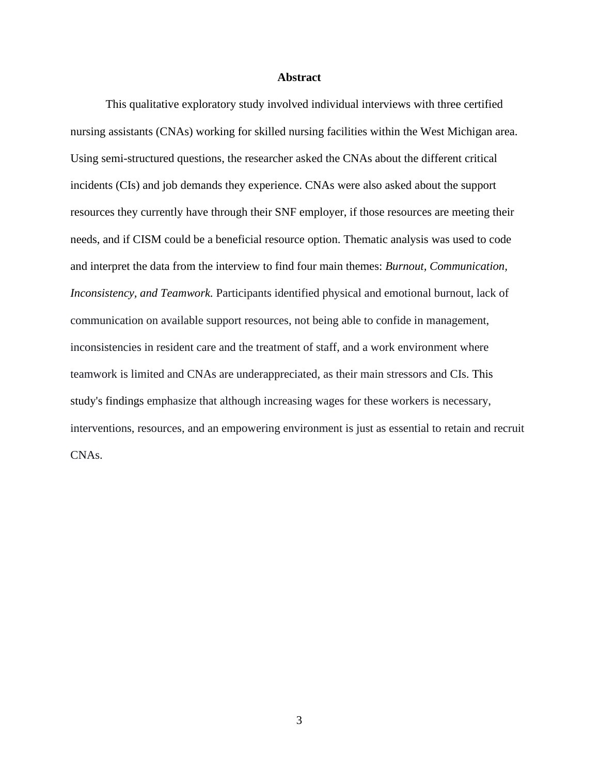#### **Abstract**

This qualitative exploratory study involved individual interviews with three certified nursing assistants (CNAs) working for skilled nursing facilities within the West Michigan area. Using semi-structured questions, the researcher asked the CNAs about the different critical incidents (CIs) and job demands they experience. CNAs were also asked about the support resources they currently have through their SNF employer, if those resources are meeting their needs, and if CISM could be a beneficial resource option. Thematic analysis was used to code and interpret the data from the interview to find four main themes: *Burnout, Communication, Inconsistency, and Teamwork.* Participants identified physical and emotional burnout, lack of communication on available support resources, not being able to confide in management, inconsistencies in resident care and the treatment of staff, and a work environment where teamwork is limited and CNAs are underappreciated, as their main stressors and CIs. This study's findings emphasize that although increasing wages for these workers is necessary, interventions, resources, and an empowering environment is just as essential to retain and recruit CNAs.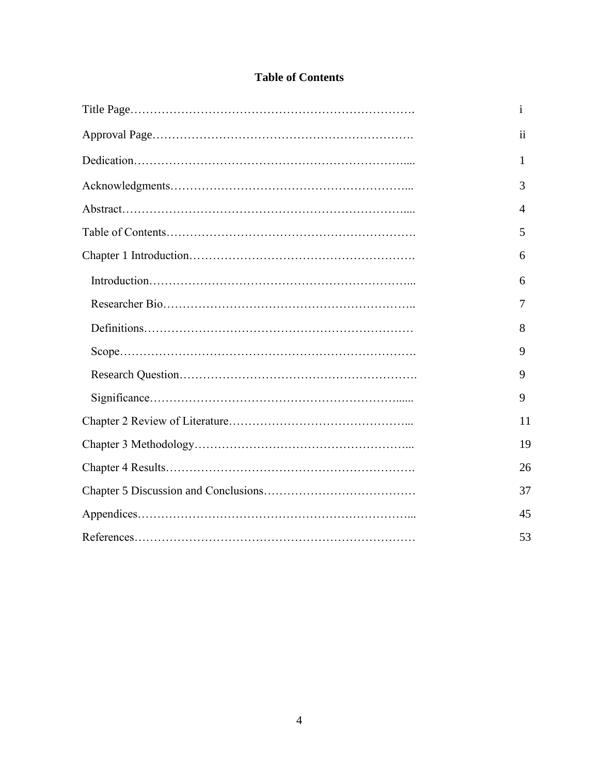# **Table of Contents**

| $\mathbf{i}$    |
|-----------------|
| $\overline{11}$ |
| 1               |
| 3               |
| $\overline{4}$  |
| 5               |
| 6               |
| 6               |
| 7               |
| 8               |
| 9               |
| 9               |
| 9               |
| 11              |
| 19              |
| 26              |
| 37              |
| 45              |
| 53              |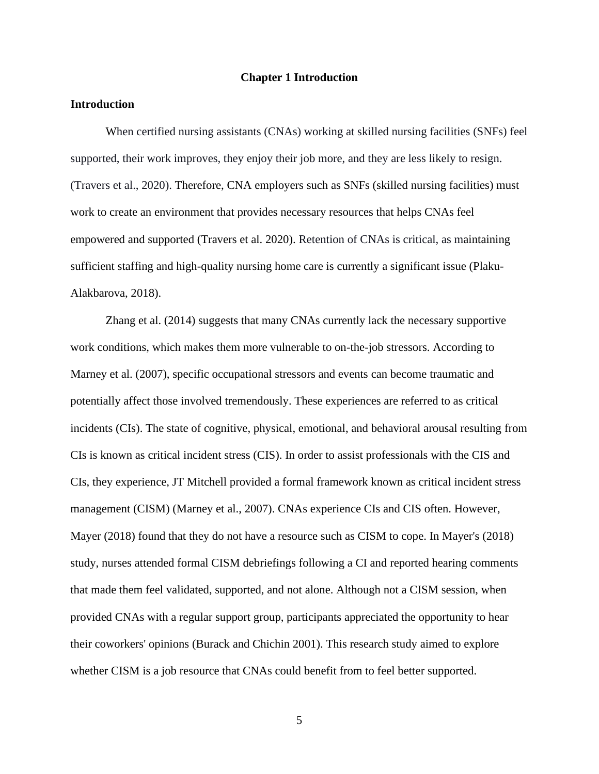### **Chapter 1 Introduction**

### **Introduction**

When certified nursing assistants (CNAs) working at skilled nursing facilities (SNFs) feel supported, their work improves, they enjoy their job more, and they are less likely to resign. (Travers et al., 2020). Therefore, CNA employers such as SNFs (skilled nursing facilities) must work to create an environment that provides necessary resources that helps CNAs feel empowered and supported (Travers et al. 2020). Retention of CNAs is critical, as maintaining sufficient staffing and high-quality nursing home care is currently a significant issue (Plaku-Alakbarova, 2018).

Zhang et al. (2014) suggests that many CNAs currently lack the necessary supportive work conditions, which makes them more vulnerable to on-the-job stressors. According to Marney et al. (2007), specific occupational stressors and events can become traumatic and potentially affect those involved tremendously. These experiences are referred to as critical incidents (CIs). The state of cognitive, physical, emotional, and behavioral arousal resulting from CIs is known as critical incident stress (CIS). In order to assist professionals with the CIS and CIs, they experience, JT Mitchell provided a formal framework known as critical incident stress management (CISM) (Marney et al., 2007). CNAs experience CIs and CIS often. However, Mayer (2018) found that they do not have a resource such as CISM to cope. In Mayer's (2018) study, nurses attended formal CISM debriefings following a CI and reported hearing comments that made them feel validated, supported, and not alone. Although not a CISM session, when provided CNAs with a regular support group, participants appreciated the opportunity to hear their coworkers' opinions (Burack and Chichin 2001). This research study aimed to explore whether CISM is a job resource that CNAs could benefit from to feel better supported.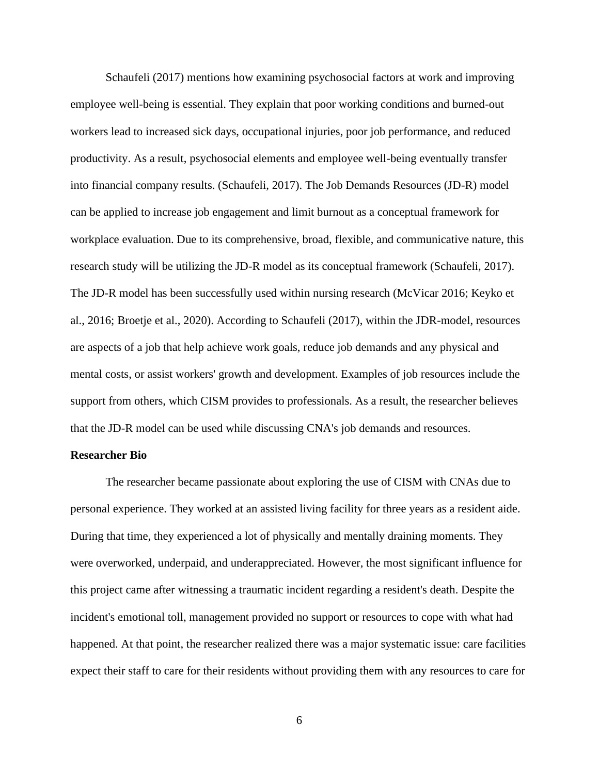Schaufeli (2017) mentions how examining psychosocial factors at work and improving employee well-being is essential. They explain that poor working conditions and burned-out workers lead to increased sick days, occupational injuries, poor job performance, and reduced productivity. As a result, psychosocial elements and employee well-being eventually transfer into financial company results. (Schaufeli, 2017). The Job Demands Resources (JD-R) model can be applied to increase job engagement and limit burnout as a conceptual framework for workplace evaluation. Due to its comprehensive, broad, flexible, and communicative nature, this research study will be utilizing the JD-R model as its conceptual framework (Schaufeli, 2017). The JD-R model has been successfully used within nursing research (McVicar 2016; Keyko et al., 2016; Broetje et al., 2020). According to Schaufeli (2017), within the JDR-model, resources are aspects of a job that help achieve work goals, reduce job demands and any physical and mental costs, or assist workers' growth and development. Examples of job resources include the support from others, which CISM provides to professionals. As a result, the researcher believes that the JD-R model can be used while discussing CNA's job demands and resources.

### **Researcher Bio**

The researcher became passionate about exploring the use of CISM with CNAs due to personal experience. They worked at an assisted living facility for three years as a resident aide. During that time, they experienced a lot of physically and mentally draining moments. They were overworked, underpaid, and underappreciated. However, the most significant influence for this project came after witnessing a traumatic incident regarding a resident's death. Despite the incident's emotional toll, management provided no support or resources to cope with what had happened. At that point, the researcher realized there was a major systematic issue: care facilities expect their staff to care for their residents without providing them with any resources to care for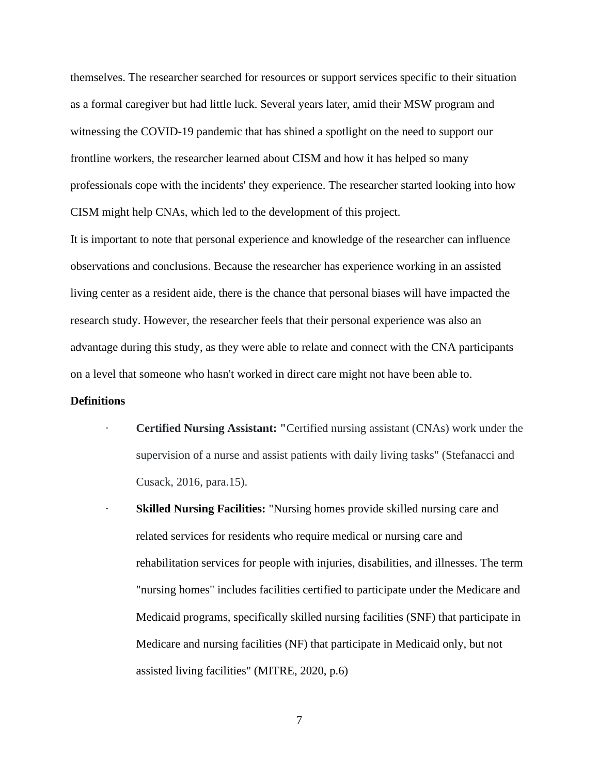themselves. The researcher searched for resources or support services specific to their situation as a formal caregiver but had little luck. Several years later, amid their MSW program and witnessing the COVID-19 pandemic that has shined a spotlight on the need to support our frontline workers, the researcher learned about CISM and how it has helped so many professionals cope with the incidents' they experience. The researcher started looking into how CISM might help CNAs, which led to the development of this project.

It is important to note that personal experience and knowledge of the researcher can influence observations and conclusions. Because the researcher has experience working in an assisted living center as a resident aide, there is the chance that personal biases will have impacted the research study. However, the researcher feels that their personal experience was also an advantage during this study, as they were able to relate and connect with the CNA participants on a level that someone who hasn't worked in direct care might not have been able to.

#### **Definitions**

- **Certified Nursing Assistant:** "Certified nursing assistant (CNAs) work under the supervision of a nurse and assist patients with daily living tasks" (Stefanacci and Cusack, 2016, para.15).
- **Skilled Nursing Facilities:** "Nursing homes provide skilled nursing care and related services for residents who require medical or nursing care and rehabilitation services for people with injuries, disabilities, and illnesses. The term "nursing homes" includes facilities certified to participate under the Medicare and Medicaid programs, specifically skilled nursing facilities (SNF) that participate in Medicare and nursing facilities (NF) that participate in Medicaid only, but not assisted living facilities" (MITRE, 2020, p.6)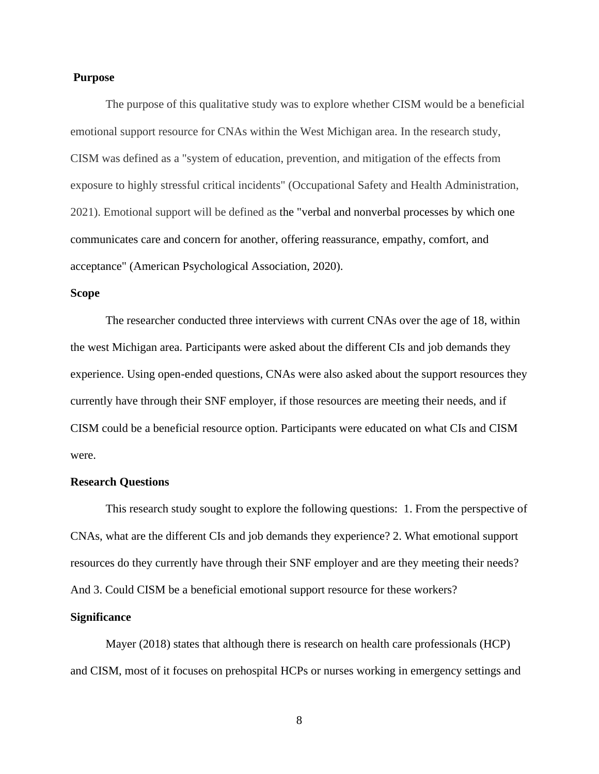### **Purpose**

The purpose of this qualitative study was to explore whether CISM would be a beneficial emotional support resource for CNAs within the West Michigan area. In the research study, CISM was defined as a "system of education, prevention, and mitigation of the effects from exposure to highly stressful critical incidents" (Occupational Safety and Health Administration, 2021). Emotional support will be defined as the "verbal and nonverbal processes by which one communicates care and concern for another, offering reassurance, empathy, comfort, and acceptance" (American Psychological Association, 2020).

### **Scope**

The researcher conducted three interviews with current CNAs over the age of 18, within the west Michigan area. Participants were asked about the different CIs and job demands they experience. Using open-ended questions, CNAs were also asked about the support resources they currently have through their SNF employer, if those resources are meeting their needs, and if CISM could be a beneficial resource option. Participants were educated on what CIs and CISM were.

#### **Research Questions**

This research study sought to explore the following questions: 1. From the perspective of CNAs, what are the different CIs and job demands they experience? 2. What emotional support resources do they currently have through their SNF employer and are they meeting their needs? And 3. Could CISM be a beneficial emotional support resource for these workers?

#### **Significance**

Mayer (2018) states that although there is research on health care professionals (HCP) and CISM, most of it focuses on prehospital HCPs or nurses working in emergency settings and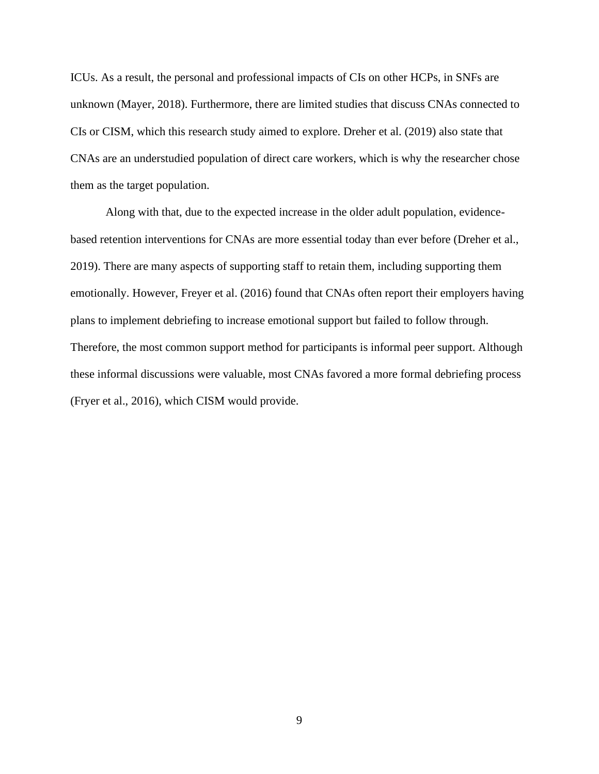ICUs. As a result, the personal and professional impacts of CIs on other HCPs, in SNFs are unknown (Mayer, 2018). Furthermore, there are limited studies that discuss CNAs connected to CIs or CISM, which this research study aimed to explore. Dreher et al. (2019) also state that CNAs are an understudied population of direct care workers, which is why the researcher chose them as the target population.

Along with that, due to the expected increase in the older adult population, evidencebased retention interventions for CNAs are more essential today than ever before (Dreher et al., 2019). There are many aspects of supporting staff to retain them, including supporting them emotionally. However, Freyer et al. (2016) found that CNAs often report their employers having plans to implement debriefing to increase emotional support but failed to follow through. Therefore, the most common support method for participants is informal peer support. Although these informal discussions were valuable, most CNAs favored a more formal debriefing process (Fryer et al., 2016), which CISM would provide.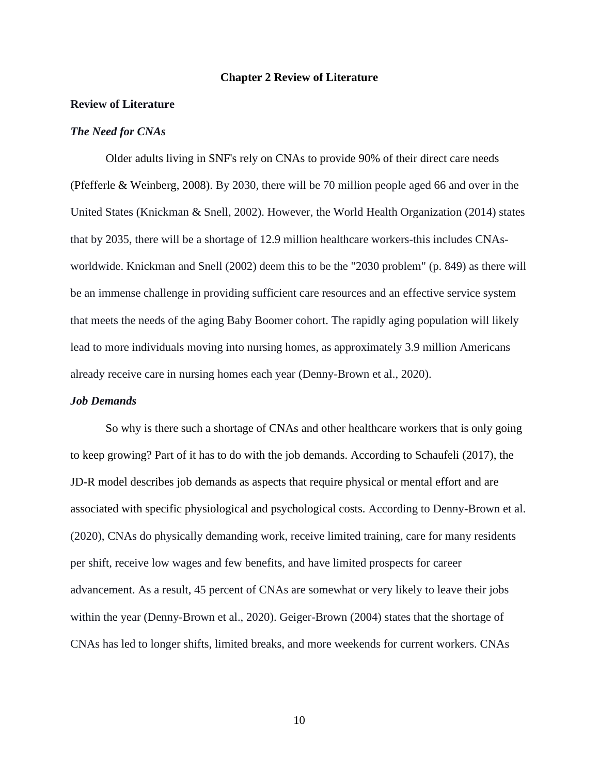#### **Chapter 2 Review of Literature**

#### **Review of Literature**

#### *The Need for CNAs*

Older adults living in SNF's rely on CNAs to provide 90% of their direct care needs (Pfefferle & Weinberg, 2008). By 2030, there will be 70 million people aged 66 and over in the United States (Knickman & Snell, 2002). However, the World Health Organization (2014) states that by 2035, there will be a shortage of 12.9 million healthcare workers-this includes CNAsworldwide. Knickman and Snell (2002) deem this to be the "2030 problem" (p. 849) as there will be an immense challenge in providing sufficient care resources and an effective service system that meets the needs of the aging Baby Boomer cohort. The rapidly aging population will likely lead to more individuals moving into nursing homes, as approximately 3.9 million Americans already receive care in nursing homes each year (Denny-Brown et al., 2020).

#### *Job Demands*

So why is there such a shortage of CNAs and other healthcare workers that is only going to keep growing? Part of it has to do with the job demands. According to Schaufeli (2017), the JD-R model describes job demands as aspects that require physical or mental effort and are associated with specific physiological and psychological costs. According to Denny-Brown et al. (2020), CNAs do physically demanding work, receive limited training, care for many residents per shift, receive low wages and few benefits, and have limited prospects for career advancement. As a result, 45 percent of CNAs are somewhat or very likely to leave their jobs within the year (Denny-Brown et al., 2020). Geiger-Brown (2004) states that the shortage of CNAs has led to longer shifts, limited breaks, and more weekends for current workers. CNAs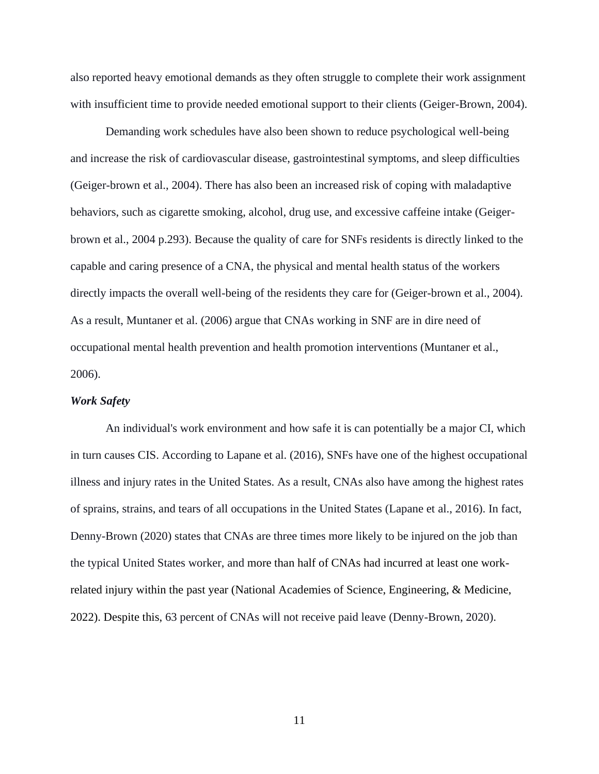also reported heavy emotional demands as they often struggle to complete their work assignment with insufficient time to provide needed emotional support to their clients (Geiger-Brown, 2004).

Demanding work schedules have also been shown to reduce psychological well-being and increase the risk of cardiovascular disease, gastrointestinal symptoms, and sleep difficulties (Geiger-brown et al., 2004). There has also been an increased risk of coping with maladaptive behaviors, such as cigarette smoking, alcohol, drug use, and excessive caffeine intake (Geigerbrown et al., 2004 p.293). Because the quality of care for SNFs residents is directly linked to the capable and caring presence of a CNA, the physical and mental health status of the workers directly impacts the overall well-being of the residents they care for (Geiger-brown et al., 2004). As a result, Muntaner et al. (2006) argue that CNAs working in SNF are in dire need of occupational mental health prevention and health promotion interventions (Muntaner et al., 2006).

### *Work Safety*

An individual's work environment and how safe it is can potentially be a major CI, which in turn causes CIS. According to Lapane et al. (2016), SNFs have one of the highest occupational illness and injury rates in the United States. As a result, CNAs also have among the highest rates of sprains, strains, and tears of all occupations in the United States (Lapane et al., 2016). In fact, Denny-Brown (2020) states that CNAs are three times more likely to be injured on the job than the typical United States worker, and more than half of CNAs had incurred at least one workrelated injury within the past year (National Academies of Science, Engineering, & Medicine, 2022). Despite this, 63 percent of CNAs will not receive paid leave (Denny-Brown, 2020).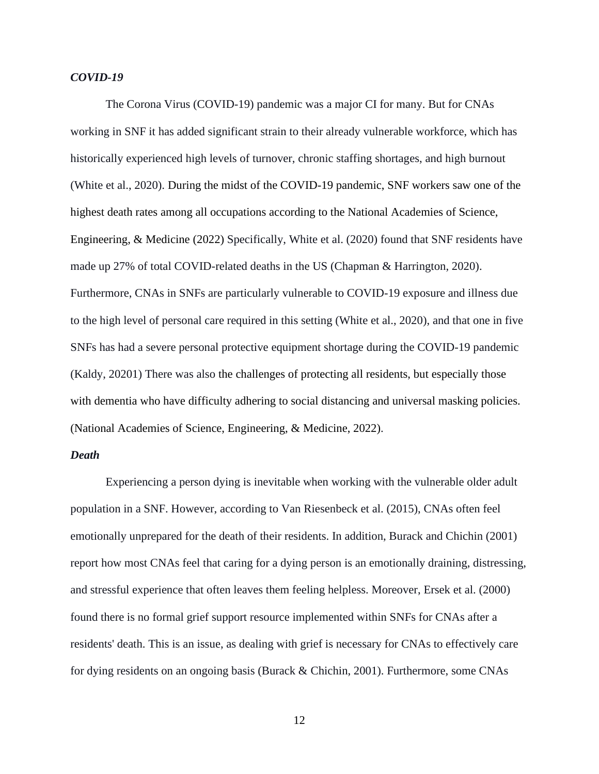### *COVID-19*

The Corona Virus (COVID-19) pandemic was a major CI for many. But for CNAs working in SNF it has added significant strain to their already vulnerable workforce, which has historically experienced high levels of turnover, chronic staffing shortages, and high burnout (White et al., 2020). During the midst of the COVID-19 pandemic, SNF workers saw one of the highest death rates among all occupations according to the National Academies of Science, Engineering, & Medicine (2022) Specifically, White et al. (2020) found that SNF residents have made up 27% of total COVID-related deaths in the US (Chapman & Harrington, 2020). Furthermore, CNAs in SNFs are particularly vulnerable to COVID-19 exposure and illness due to the high level of personal care required in this setting (White et al., 2020), and that one in five SNFs has had a severe personal protective equipment shortage during the COVID-19 pandemic (Kaldy, 20201) There was also the challenges of protecting all residents, but especially those with dementia who have difficulty adhering to social distancing and universal masking policies. (National Academies of Science, Engineering, & Medicine, 2022).

### *Death*

Experiencing a person dying is inevitable when working with the vulnerable older adult population in a SNF. However, according to Van Riesenbeck et al. (2015), CNAs often feel emotionally unprepared for the death of their residents. In addition, Burack and Chichin (2001) report how most CNAs feel that caring for a dying person is an emotionally draining, distressing, and stressful experience that often leaves them feeling helpless. Moreover, Ersek et al. (2000) found there is no formal grief support resource implemented within SNFs for CNAs after a residents' death. This is an issue, as dealing with grief is necessary for CNAs to effectively care for dying residents on an ongoing basis (Burack & Chichin, 2001). Furthermore, some CNAs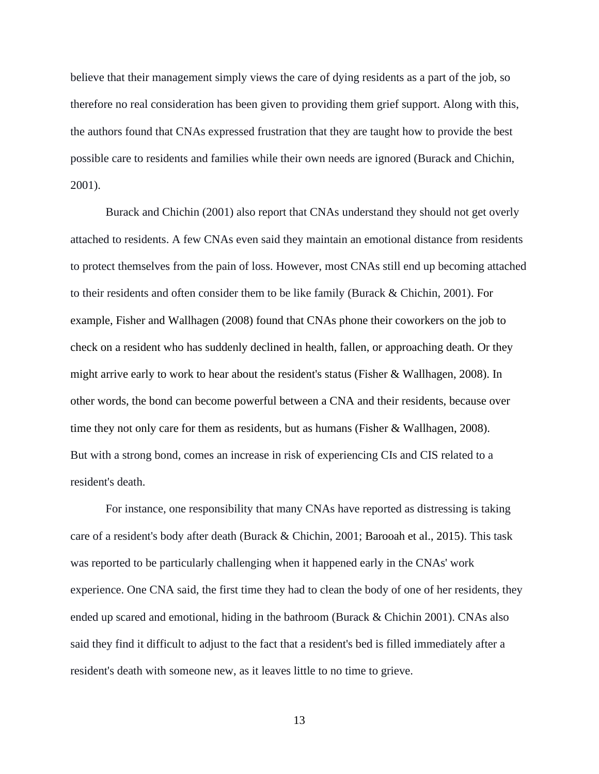believe that their management simply views the care of dying residents as a part of the job, so therefore no real consideration has been given to providing them grief support. Along with this, the authors found that CNAs expressed frustration that they are taught how to provide the best possible care to residents and families while their own needs are ignored (Burack and Chichin, 2001).

Burack and Chichin (2001) also report that CNAs understand they should not get overly attached to residents. A few CNAs even said they maintain an emotional distance from residents to protect themselves from the pain of loss. However, most CNAs still end up becoming attached to their residents and often consider them to be like family (Burack & Chichin, 2001). For example, Fisher and Wallhagen (2008) found that CNAs phone their coworkers on the job to check on a resident who has suddenly declined in health, fallen, or approaching death. Or they might arrive early to work to hear about the resident's status (Fisher & Wallhagen, 2008). In other words, the bond can become powerful between a CNA and their residents, because over time they not only care for them as residents, but as humans (Fisher & Wallhagen, 2008). But with a strong bond, comes an increase in risk of experiencing CIs and CIS related to a resident's death.

For instance, one responsibility that many CNAs have reported as distressing is taking care of a resident's body after death (Burack & Chichin, 2001; Barooah et al., 2015). This task was reported to be particularly challenging when it happened early in the CNAs' work experience. One CNA said, the first time they had to clean the body of one of her residents, they ended up scared and emotional, hiding in the bathroom (Burack & Chichin 2001). CNAs also said they find it difficult to adjust to the fact that a resident's bed is filled immediately after a resident's death with someone new, as it leaves little to no time to grieve.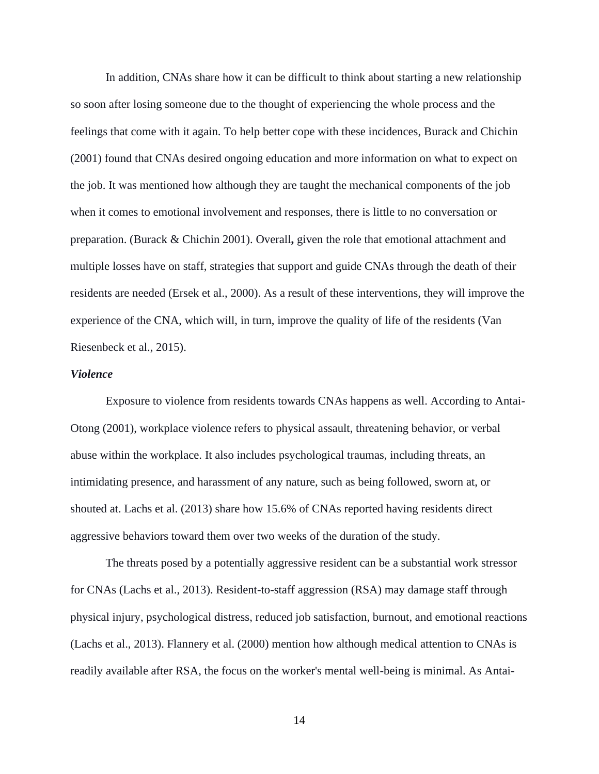In addition, CNAs share how it can be difficult to think about starting a new relationship so soon after losing someone due to the thought of experiencing the whole process and the feelings that come with it again. To help better cope with these incidences, Burack and Chichin (2001) found that CNAs desired ongoing education and more information on what to expect on the job. It was mentioned how although they are taught the mechanical components of the job when it comes to emotional involvement and responses, there is little to no conversation or preparation. (Burack & Chichin 2001). Overall**,** given the role that emotional attachment and multiple losses have on staff, strategies that support and guide CNAs through the death of their residents are needed (Ersek et al., 2000). As a result of these interventions, they will improve the experience of the CNA, which will, in turn, improve the quality of life of the residents (Van Riesenbeck et al., 2015).

### *Violence*

Exposure to violence from residents towards CNAs happens as well. According to Antai-Otong (2001), workplace violence refers to physical assault, threatening behavior, or verbal abuse within the workplace. It also includes psychological traumas, including threats, an intimidating presence, and harassment of any nature, such as being followed, sworn at, or shouted at. Lachs et al. (2013) share how 15.6% of CNAs reported having residents direct aggressive behaviors toward them over two weeks of the duration of the study.

The threats posed by a potentially aggressive resident can be a substantial work stressor for CNAs (Lachs et al., 2013). Resident-to-staff aggression (RSA) may damage staff through physical injury, psychological distress, reduced job satisfaction, burnout, and emotional reactions (Lachs et al., 2013). Flannery et al. (2000) mention how although medical attention to CNAs is readily available after RSA, the focus on the worker's mental well-being is minimal. As Antai-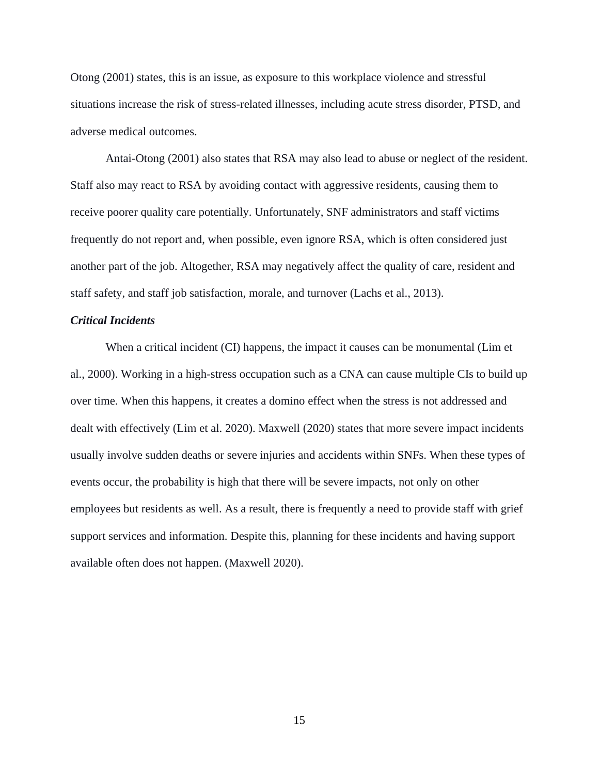Otong (2001) states, this is an issue, as exposure to this workplace violence and stressful situations increase the risk of stress-related illnesses, including acute stress disorder, PTSD, and adverse medical outcomes.

Antai-Otong (2001) also states that RSA may also lead to abuse or neglect of the resident. Staff also may react to RSA by avoiding contact with aggressive residents, causing them to receive poorer quality care potentially. Unfortunately, SNF administrators and staff victims frequently do not report and, when possible, even ignore RSA, which is often considered just another part of the job. Altogether, RSA may negatively affect the quality of care, resident and staff safety, and staff job satisfaction, morale, and turnover (Lachs et al., 2013).

### *Critical Incidents*

When a critical incident (CI) happens, the impact it causes can be monumental (Lim et al., 2000). Working in a high-stress occupation such as a CNA can cause multiple CIs to build up over time. When this happens, it creates a domino effect when the stress is not addressed and dealt with effectively (Lim et al. 2020). Maxwell (2020) states that more severe impact incidents usually involve sudden deaths or severe injuries and accidents within SNFs. When these types of events occur, the probability is high that there will be severe impacts, not only on other employees but residents as well. As a result, there is frequently a need to provide staff with grief support services and information. Despite this, planning for these incidents and having support available often does not happen. (Maxwell 2020).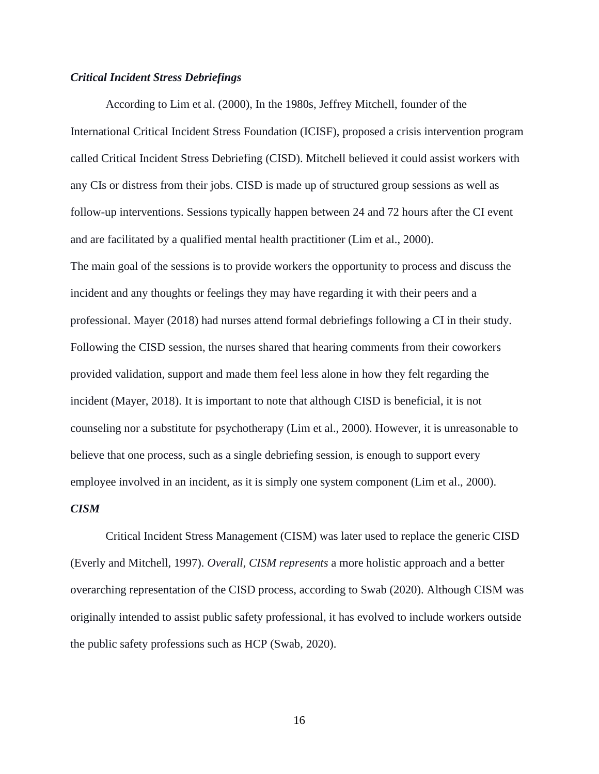#### *Critical Incident Stress Debriefings*

According to Lim et al. (2000), In the 1980s, Jeffrey Mitchell, founder of the International Critical Incident Stress Foundation (ICISF), proposed a crisis intervention program called Critical Incident Stress Debriefing (CISD). Mitchell believed it could assist workers with any CIs or distress from their jobs. CISD is made up of structured group sessions as well as follow-up interventions. Sessions typically happen between 24 and 72 hours after the CI event and are facilitated by a qualified mental health practitioner (Lim et al., 2000). The main goal of the sessions is to provide workers the opportunity to process and discuss the incident and any thoughts or feelings they may have regarding it with their peers and a professional. Mayer (2018) had nurses attend formal debriefings following a CI in their study. Following the CISD session, the nurses shared that hearing comments from their coworkers provided validation, support and made them feel less alone in how they felt regarding the incident (Mayer, 2018). It is important to note that although CISD is beneficial, it is not counseling nor a substitute for psychotherapy (Lim et al., 2000). However, it is unreasonable to believe that one process, such as a single debriefing session, is enough to support every employee involved in an incident, as it is simply one system component (Lim et al., 2000).

#### *CISM*

Critical Incident Stress Management (CISM) was later used to replace the generic CISD (Everly and Mitchell, 1997). *Overall, CISM represents* a more holistic approach and a better overarching representation of the CISD process, according to Swab (2020). Although CISM was originally intended to assist public safety professional, it has evolved to include workers outside the public safety professions such as HCP (Swab, 2020).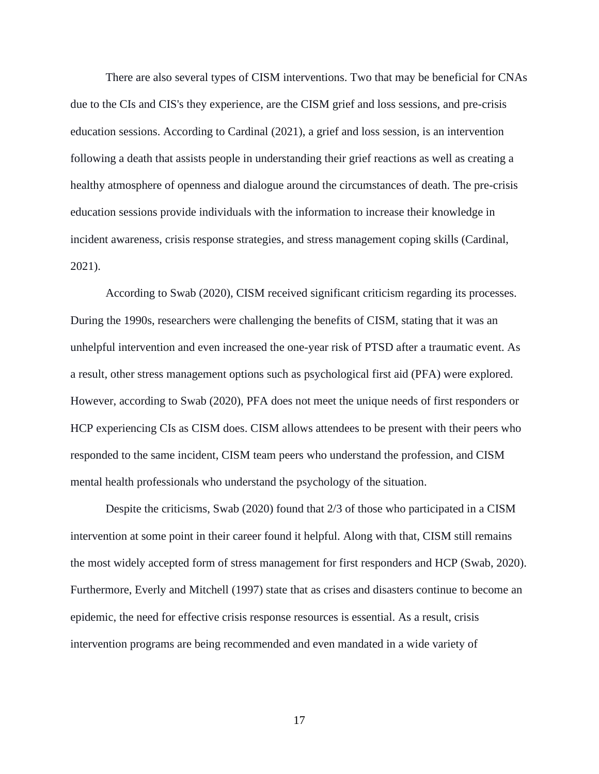There are also several types of CISM interventions. Two that may be beneficial for CNAs due to the CIs and CIS's they experience, are the CISM grief and loss sessions, and pre-crisis education sessions. According to Cardinal (2021), a grief and loss session, is an intervention following a death that assists people in understanding their grief reactions as well as creating a healthy atmosphere of openness and dialogue around the circumstances of death. The pre-crisis education sessions provide individuals with the information to increase their knowledge in incident awareness, crisis response strategies, and stress management coping skills (Cardinal, 2021).

According to Swab (2020), CISM received significant criticism regarding its processes. During the 1990s, researchers were challenging the benefits of CISM, stating that it was an unhelpful intervention and even increased the one-year risk of PTSD after a traumatic event. As a result, other stress management options such as psychological first aid (PFA) were explored. However, according to Swab (2020), PFA does not meet the unique needs of first responders or HCP experiencing CIs as CISM does. CISM allows attendees to be present with their peers who responded to the same incident, CISM team peers who understand the profession, and CISM mental health professionals who understand the psychology of the situation.

Despite the criticisms, Swab (2020) found that 2/3 of those who participated in a CISM intervention at some point in their career found it helpful. Along with that, CISM still remains the most widely accepted form of stress management for first responders and HCP (Swab, 2020). Furthermore, Everly and Mitchell (1997) state that as crises and disasters continue to become an epidemic, the need for effective crisis response resources is essential. As a result, crisis intervention programs are being recommended and even mandated in a wide variety of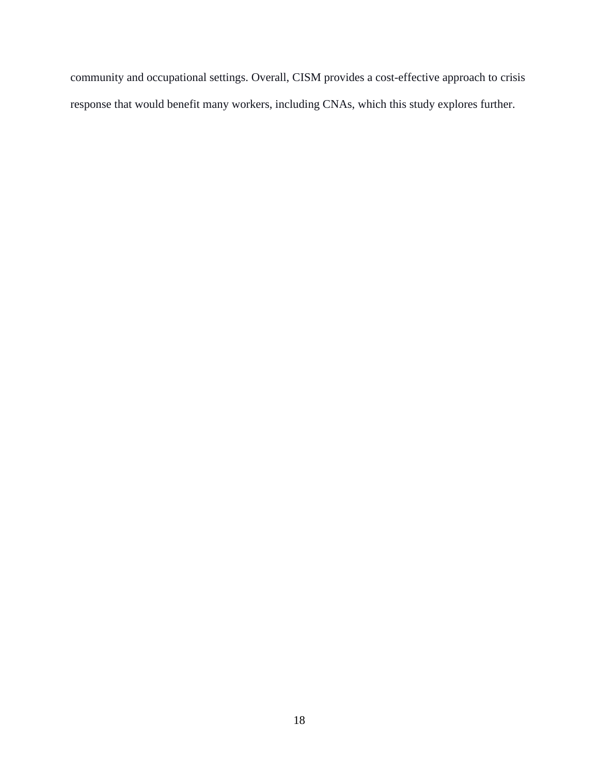community and occupational settings. Overall, CISM provides a cost-effective approach to crisis response that would benefit many workers, including CNAs, which this study explores further.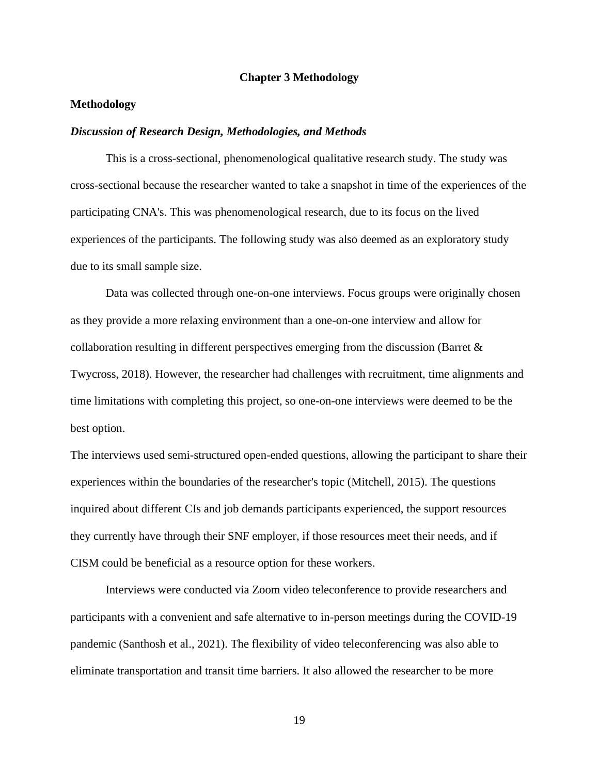#### **Chapter 3 Methodology**

### **Methodology**

#### *Discussion of Research Design, Methodologies, and Methods*

This is a cross-sectional, phenomenological qualitative research study. The study was cross-sectional because the researcher wanted to take a snapshot in time of the experiences of the participating CNA's. This was phenomenological research, due to its focus on the lived experiences of the participants. The following study was also deemed as an exploratory study due to its small sample size.

Data was collected through one-on-one interviews. Focus groups were originally chosen as they provide a more relaxing environment than a one-on-one interview and allow for collaboration resulting in different perspectives emerging from the discussion (Barret & Twycross, 2018). However, the researcher had challenges with recruitment, time alignments and time limitations with completing this project, so one-on-one interviews were deemed to be the best option.

The interviews used semi-structured open-ended questions, allowing the participant to share their experiences within the boundaries of the researcher's topic (Mitchell, 2015). The questions inquired about different CIs and job demands participants experienced, the support resources they currently have through their SNF employer, if those resources meet their needs, and if CISM could be beneficial as a resource option for these workers.

Interviews were conducted via Zoom video teleconference to provide researchers and participants with a convenient and safe alternative to in-person meetings during the COVID-19 pandemic (Santhosh et al., 2021). The flexibility of video teleconferencing was also able to eliminate transportation and transit time barriers. It also allowed the researcher to be more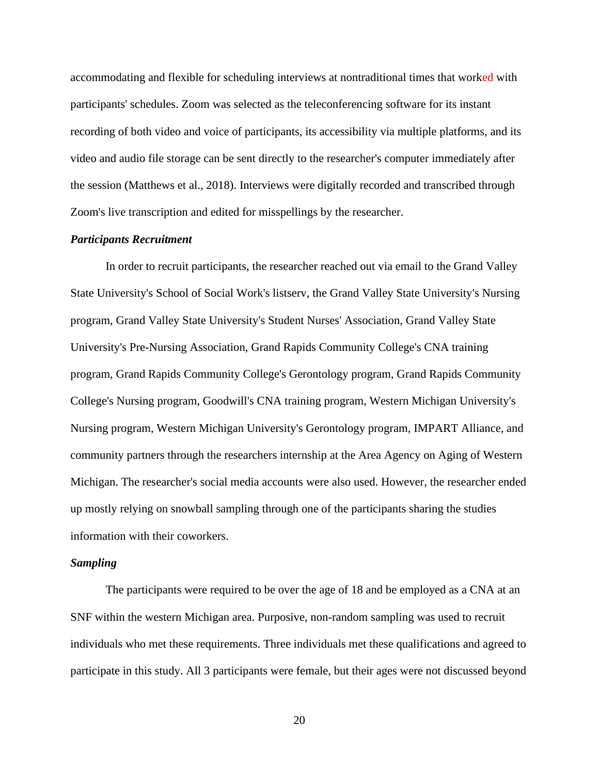accommodating and flexible for scheduling interviews at nontraditional times that worked with participants' schedules. Zoom was selected as the teleconferencing software for its instant recording of both video and voice of participants, its accessibility via multiple platforms, and its video and audio file storage can be sent directly to the researcher's computer immediately after the session (Matthews et al., 2018). Interviews were digitally recorded and transcribed through Zoom's live transcription and edited for misspellings by the researcher.

#### *Participants Recruitment*

In order to recruit participants, the researcher reached out via email to the Grand Valley State University's School of Social Work's listserv, the Grand Valley State University's Nursing program, Grand Valley State University's Student Nurses' Association, Grand Valley State University's Pre-Nursing Association, Grand Rapids Community College's CNA training program, Grand Rapids Community College's Gerontology program, Grand Rapids Community College's Nursing program, Goodwill's CNA training program, Western Michigan University's Nursing program, Western Michigan University's Gerontology program, IMPART Alliance, and community partners through the researchers internship at the Area Agency on Aging of Western Michigan. The researcher's social media accounts were also used. However, the researcher ended up mostly relying on snowball sampling through one of the participants sharing the studies information with their coworkers.

#### *Sampling*

The participants were required to be over the age of 18 and be employed as a CNA at an SNF within the western Michigan area. Purposive, non-random sampling was used to recruit individuals who met these requirements. Three individuals met these qualifications and agreed to participate in this study. All 3 participants were female, but their ages were not discussed beyond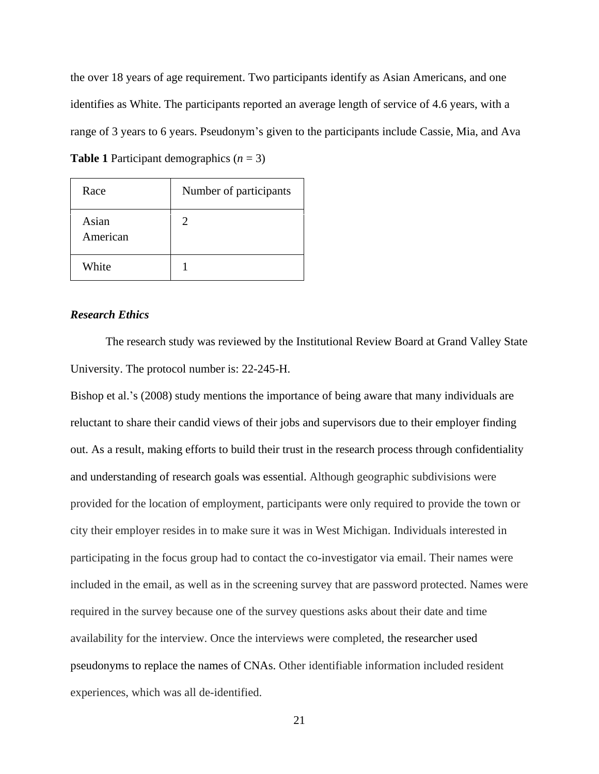the over 18 years of age requirement. Two participants identify as Asian Americans, and one identifies as White. The participants reported an average length of service of 4.6 years, with a range of 3 years to 6 years. Pseudonym's given to the participants include Cassie, Mia, and Ava **Table 1** Participant demographics  $(n = 3)$ 

| Race              | Number of participants |
|-------------------|------------------------|
| Asian<br>American | 2                      |
| White             |                        |

### *Research Ethics*

The research study was reviewed by the Institutional Review Board at Grand Valley State University. The protocol number is: 22-245-H.

Bishop et al.'s (2008) study mentions the importance of being aware that many individuals are reluctant to share their candid views of their jobs and supervisors due to their employer finding out. As a result, making efforts to build their trust in the research process through confidentiality and understanding of research goals was essential. Although geographic subdivisions were provided for the location of employment, participants were only required to provide the town or city their employer resides in to make sure it was in West Michigan. Individuals interested in participating in the focus group had to contact the co-investigator via email. Their names were included in the email, as well as in the screening survey that are password protected. Names were required in the survey because one of the survey questions asks about their date and time availability for the interview. Once the interviews were completed, the researcher used pseudonyms to replace the names of CNAs. Other identifiable information included resident experiences, which was all de-identified.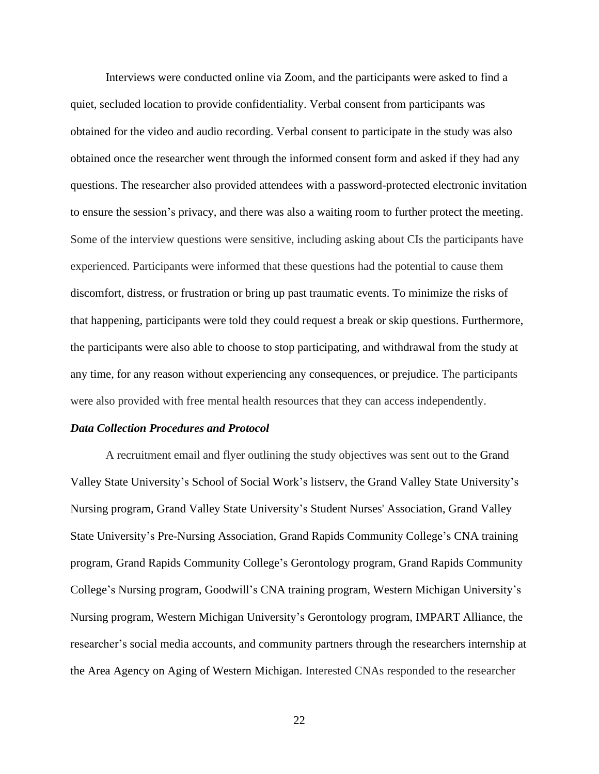Interviews were conducted online via Zoom, and the participants were asked to find a quiet, secluded location to provide confidentiality. Verbal consent from participants was obtained for the video and audio recording. Verbal consent to participate in the study was also obtained once the researcher went through the informed consent form and asked if they had any questions. The researcher also provided attendees with a password-protected electronic invitation to ensure the session's privacy, and there was also a waiting room to further protect the meeting. Some of the interview questions were sensitive, including asking about CIs the participants have experienced. Participants were informed that these questions had the potential to cause them discomfort, distress, or frustration or bring up past traumatic events. To minimize the risks of that happening, participants were told they could request a break or skip questions. Furthermore, the participants were also able to choose to stop participating, and withdrawal from the study at any time, for any reason without experiencing any consequences, or prejudice. The participants were also provided with free mental health resources that they can access independently.

#### *Data Collection Procedures and Protocol*

A recruitment email and flyer outlining the study objectives was sent out to the Grand Valley State University's School of Social Work's listserv, the Grand Valley State University's Nursing program, Grand Valley State University's Student Nurses' Association, Grand Valley State University's Pre-Nursing Association, Grand Rapids Community College's CNA training program, Grand Rapids Community College's Gerontology program, Grand Rapids Community College's Nursing program, Goodwill's CNA training program, Western Michigan University's Nursing program, Western Michigan University's Gerontology program, IMPART Alliance, the researcher's social media accounts, and community partners through the researchers internship at the Area Agency on Aging of Western Michigan. Interested CNAs responded to the researcher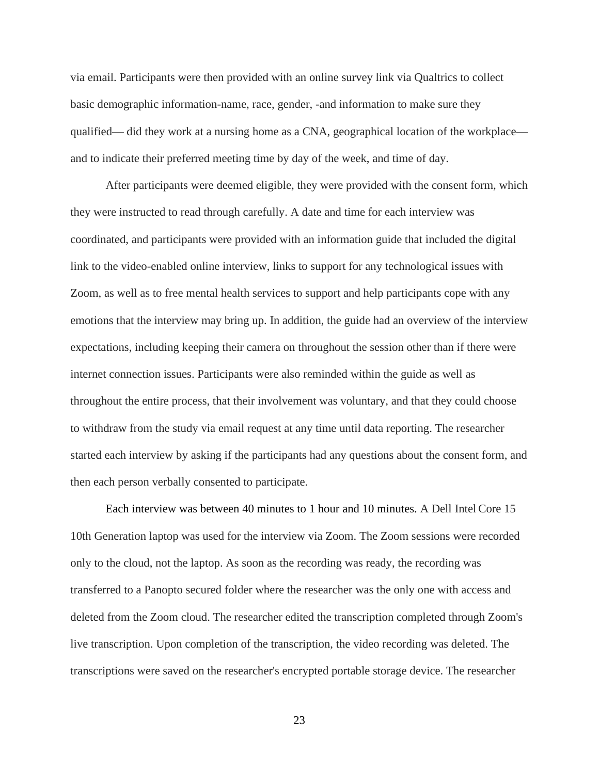via email. Participants were then provided with an online survey link via Qualtrics to collect basic demographic information-name, race, gender, -and information to make sure they qualified— did they work at a nursing home as a CNA, geographical location of the workplace and to indicate their preferred meeting time by day of the week, and time of day.

After participants were deemed eligible, they were provided with the consent form, which they were instructed to read through carefully. A date and time for each interview was coordinated, and participants were provided with an information guide that included the digital link to the video-enabled online interview, links to support for any technological issues with Zoom, as well as to free mental health services to support and help participants cope with any emotions that the interview may bring up. In addition, the guide had an overview of the interview expectations, including keeping their camera on throughout the session other than if there were internet connection issues. Participants were also reminded within the guide as well as throughout the entire process, that their involvement was voluntary, and that they could choose to withdraw from the study via email request at any time until data reporting. The researcher started each interview by asking if the participants had any questions about the consent form, and then each person verbally consented to participate.

Each interview was between 40 minutes to 1 hour and 10 minutes. A Dell Intel Core 15 10th Generation laptop was used for the interview via Zoom. The Zoom sessions were recorded only to the cloud, not the laptop. As soon as the recording was ready, the recording was transferred to a Panopto secured folder where the researcher was the only one with access and deleted from the Zoom cloud. The researcher edited the transcription completed through Zoom's live transcription. Upon completion of the transcription, the video recording was deleted. The transcriptions were saved on the researcher's encrypted portable storage device. The researcher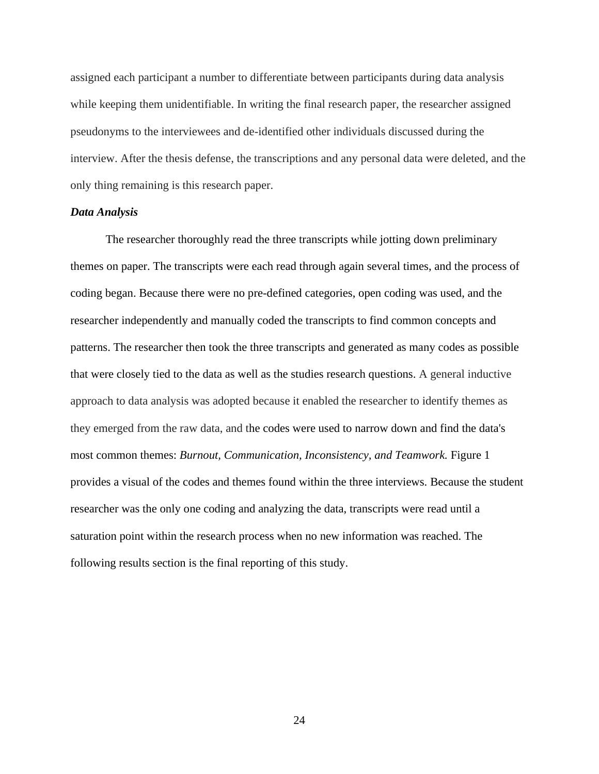assigned each participant a number to differentiate between participants during data analysis while keeping them unidentifiable. In writing the final research paper, the researcher assigned pseudonyms to the interviewees and de-identified other individuals discussed during the interview. After the thesis defense, the transcriptions and any personal data were deleted, and the only thing remaining is this research paper.

### *Data Analysis*

The researcher thoroughly read the three transcripts while jotting down preliminary themes on paper. The transcripts were each read through again several times, and the process of coding began. Because there were no pre-defined categories, open coding was used, and the researcher independently and manually coded the transcripts to find common concepts and patterns. The researcher then took the three transcripts and generated as many codes as possible that were closely tied to the data as well as the studies research questions. A general inductive approach to data analysis was adopted because it enabled the researcher to identify themes as they emerged from the raw data, and the codes were used to narrow down and find the data's most common themes: *Burnout, Communication, Inconsistency, and Teamwork.* Figure 1 provides a visual of the codes and themes found within the three interviews. Because the student researcher was the only one coding and analyzing the data, transcripts were read until a saturation point within the research process when no new information was reached. The following results section is the final reporting of this study.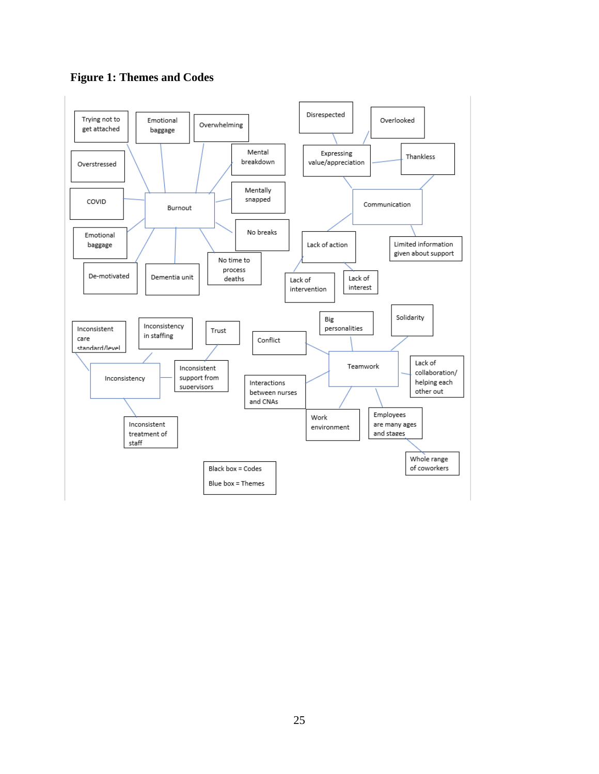

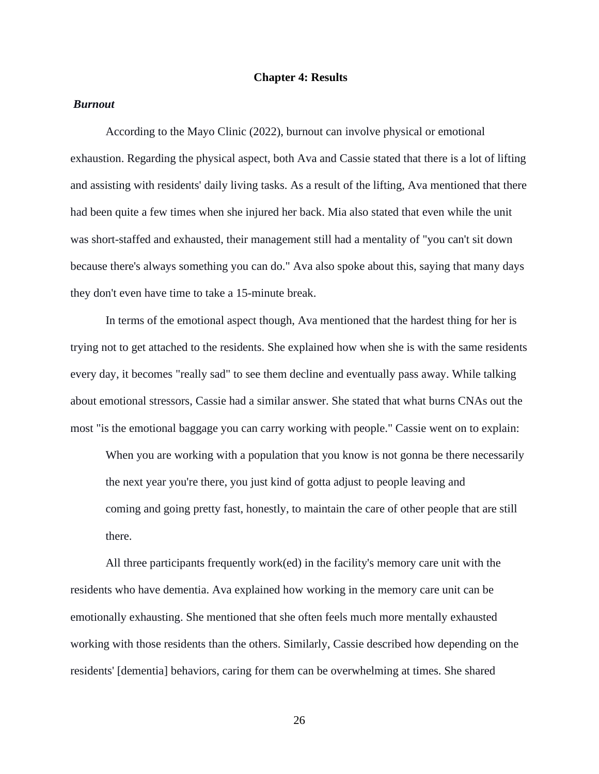#### **Chapter 4: Results**

### *Burnout*

According to the Mayo Clinic (2022), burnout can involve physical or emotional exhaustion. Regarding the physical aspect, both Ava and Cassie stated that there is a lot of lifting and assisting with residents' daily living tasks. As a result of the lifting, Ava mentioned that there had been quite a few times when she injured her back. Mia also stated that even while the unit was short-staffed and exhausted, their management still had a mentality of "you can't sit down because there's always something you can do." Ava also spoke about this, saying that many days they don't even have time to take a 15-minute break.

In terms of the emotional aspect though, Ava mentioned that the hardest thing for her is trying not to get attached to the residents. She explained how when she is with the same residents every day, it becomes "really sad" to see them decline and eventually pass away. While talking about emotional stressors, Cassie had a similar answer. She stated that what burns CNAs out the most "is the emotional baggage you can carry working with people." Cassie went on to explain:

When you are working with a population that you know is not gonna be there necessarily the next year you're there, you just kind of gotta adjust to people leaving and coming and going pretty fast, honestly, to maintain the care of other people that are still there.

All three participants frequently work(ed) in the facility's memory care unit with the residents who have dementia. Ava explained how working in the memory care unit can be emotionally exhausting. She mentioned that she often feels much more mentally exhausted working with those residents than the others. Similarly, Cassie described how depending on the residents' [dementia] behaviors, caring for them can be overwhelming at times. She shared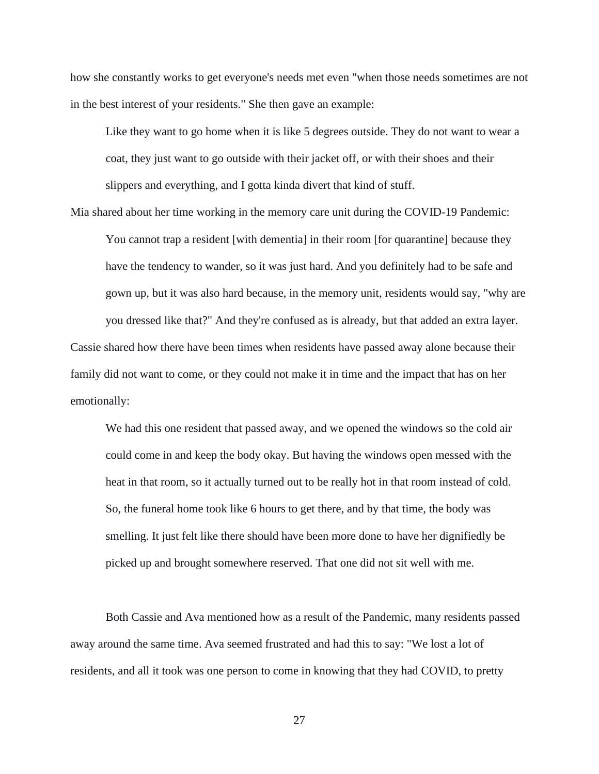how she constantly works to get everyone's needs met even "when those needs sometimes are not in the best interest of your residents." She then gave an example:

Like they want to go home when it is like 5 degrees outside. They do not want to wear a coat, they just want to go outside with their jacket off, or with their shoes and their slippers and everything, and I gotta kinda divert that kind of stuff.

Mia shared about her time working in the memory care unit during the COVID-19 Pandemic: You cannot trap a resident [with dementia] in their room [for quarantine] because they have the tendency to wander, so it was just hard. And you definitely had to be safe and gown up, but it was also hard because, in the memory unit, residents would say, "why are you dressed like that?" And they're confused as is already, but that added an extra layer. Cassie shared how there have been times when residents have passed away alone because their

family did not want to come, or they could not make it in time and the impact that has on her emotionally:

We had this one resident that passed away, and we opened the windows so the cold air could come in and keep the body okay. But having the windows open messed with the heat in that room, so it actually turned out to be really hot in that room instead of cold. So, the funeral home took like 6 hours to get there, and by that time, the body was smelling. It just felt like there should have been more done to have her dignifiedly be picked up and brought somewhere reserved. That one did not sit well with me.

Both Cassie and Ava mentioned how as a result of the Pandemic, many residents passed away around the same time. Ava seemed frustrated and had this to say: "We lost a lot of residents, and all it took was one person to come in knowing that they had COVID, to pretty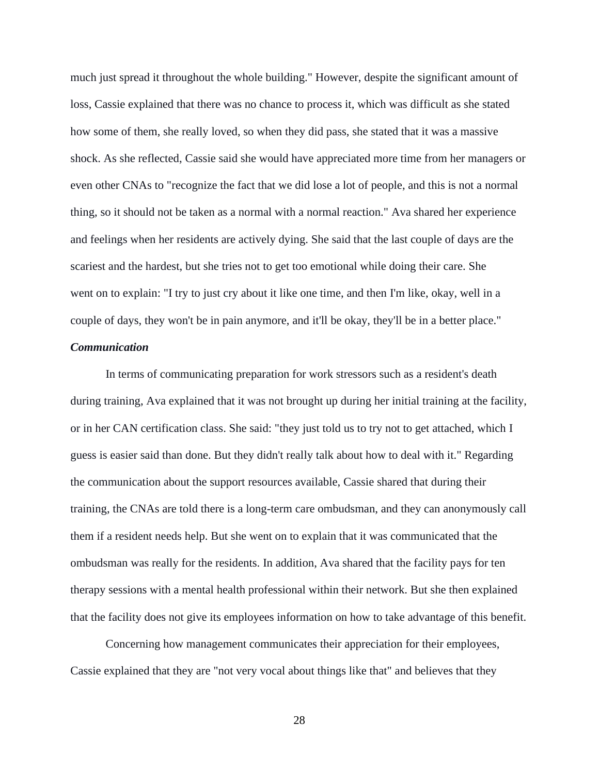much just spread it throughout the whole building." However, despite the significant amount of loss, Cassie explained that there was no chance to process it, which was difficult as she stated how some of them, she really loved, so when they did pass, she stated that it was a massive shock. As she reflected, Cassie said she would have appreciated more time from her managers or even other CNAs to "recognize the fact that we did lose a lot of people, and this is not a normal thing, so it should not be taken as a normal with a normal reaction." Ava shared her experience and feelings when her residents are actively dying. She said that the last couple of days are the scariest and the hardest, but she tries not to get too emotional while doing their care. She went on to explain: "I try to just cry about it like one time, and then I'm like, okay, well in a couple of days, they won't be in pain anymore, and it'll be okay, they'll be in a better place."

### *Communication*

In terms of communicating preparation for work stressors such as a resident's death during training, Ava explained that it was not brought up during her initial training at the facility, or in her CAN certification class. She said: "they just told us to try not to get attached, which I guess is easier said than done. But they didn't really talk about how to deal with it." Regarding the communication about the support resources available, Cassie shared that during their training, the CNAs are told there is a long-term care ombudsman, and they can anonymously call them if a resident needs help. But she went on to explain that it was communicated that the ombudsman was really for the residents. In addition, Ava shared that the facility pays for ten therapy sessions with a mental health professional within their network. But she then explained that the facility does not give its employees information on how to take advantage of this benefit.

Concerning how management communicates their appreciation for their employees, Cassie explained that they are "not very vocal about things like that" and believes that they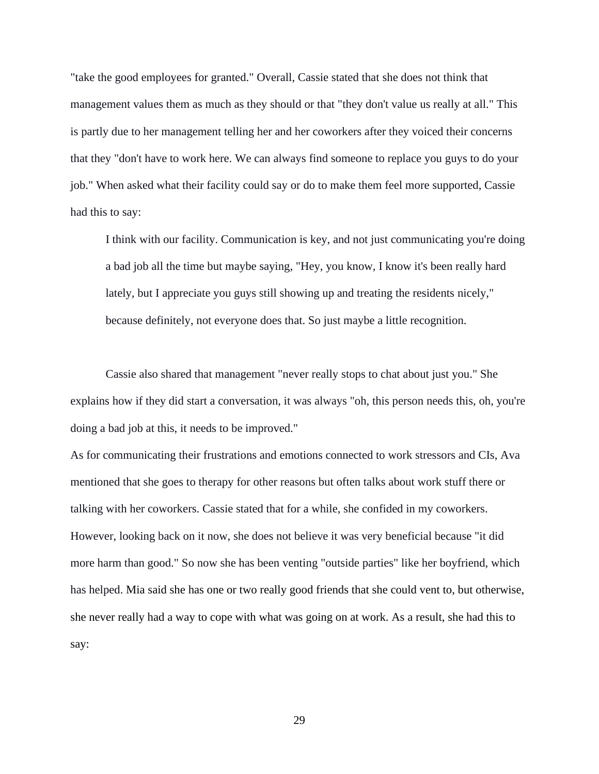"take the good employees for granted." Overall, Cassie stated that she does not think that management values them as much as they should or that "they don't value us really at all." This is partly due to her management telling her and her coworkers after they voiced their concerns that they "don't have to work here. We can always find someone to replace you guys to do your job." When asked what their facility could say or do to make them feel more supported, Cassie had this to say:

I think with our facility. Communication is key, and not just communicating you're doing a bad job all the time but maybe saying, "Hey, you know, I know it's been really hard lately, but I appreciate you guys still showing up and treating the residents nicely," because definitely, not everyone does that. So just maybe a little recognition.

Cassie also shared that management "never really stops to chat about just you." She explains how if they did start a conversation, it was always "oh, this person needs this, oh, you're doing a bad job at this, it needs to be improved."

As for communicating their frustrations and emotions connected to work stressors and CIs, Ava mentioned that she goes to therapy for other reasons but often talks about work stuff there or talking with her coworkers. Cassie stated that for a while, she confided in my coworkers. However, looking back on it now, she does not believe it was very beneficial because "it did more harm than good." So now she has been venting "outside parties" like her boyfriend, which has helped. Mia said she has one or two really good friends that she could vent to, but otherwise, she never really had a way to cope with what was going on at work. As a result, she had this to say: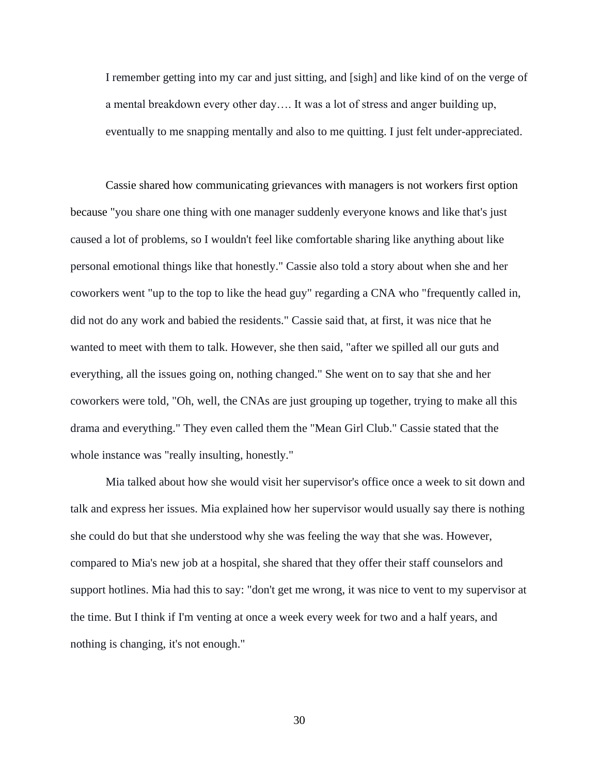I remember getting into my car and just sitting, and [sigh] and like kind of on the verge of a mental breakdown every other day…. It was a lot of stress and anger building up, eventually to me snapping mentally and also to me quitting. I just felt under-appreciated.

Cassie shared how communicating grievances with managers is not workers first option because "you share one thing with one manager suddenly everyone knows and like that's just caused a lot of problems, so I wouldn't feel like comfortable sharing like anything about like personal emotional things like that honestly." Cassie also told a story about when she and her coworkers went "up to the top to like the head guy" regarding a CNA who "frequently called in, did not do any work and babied the residents." Cassie said that, at first, it was nice that he wanted to meet with them to talk. However, she then said, "after we spilled all our guts and everything, all the issues going on, nothing changed." She went on to say that she and her coworkers were told, "Oh, well, the CNAs are just grouping up together, trying to make all this drama and everything." They even called them the "Mean Girl Club." Cassie stated that the whole instance was "really insulting, honestly."

Mia talked about how she would visit her supervisor's office once a week to sit down and talk and express her issues. Mia explained how her supervisor would usually say there is nothing she could do but that she understood why she was feeling the way that she was. However, compared to Mia's new job at a hospital, she shared that they offer their staff counselors and support hotlines. Mia had this to say: "don't get me wrong, it was nice to vent to my supervisor at the time. But I think if I'm venting at once a week every week for two and a half years, and nothing is changing, it's not enough."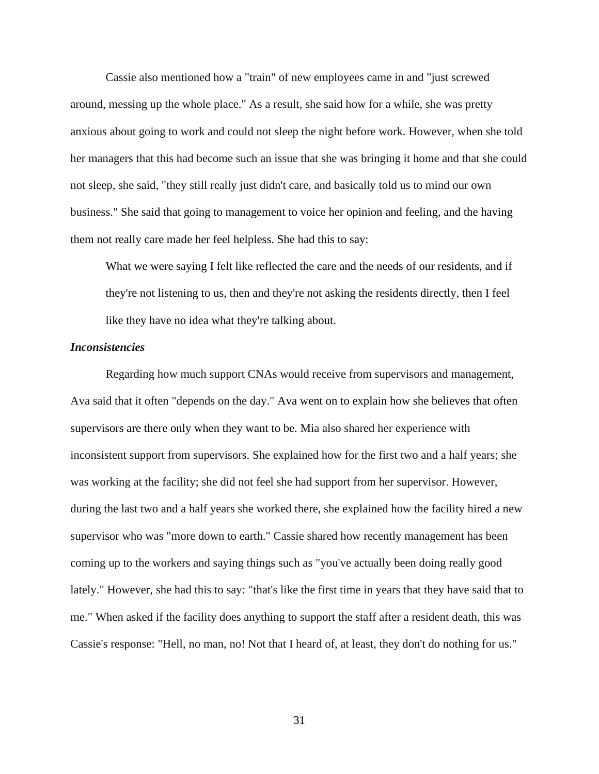Cassie also mentioned how a "train" of new employees came in and "just screwed around, messing up the whole place." As a result, she said how for a while, she was pretty anxious about going to work and could not sleep the night before work. However, when she told her managers that this had become such an issue that she was bringing it home and that she could not sleep, she said, "they still really just didn't care, and basically told us to mind our own business." She said that going to management to voice her opinion and feeling, and the having them not really care made her feel helpless. She had this to say:

What we were saying I felt like reflected the care and the needs of our residents, and if they're not listening to us, then and they're not asking the residents directly, then I feel like they have no idea what they're talking about.

#### *Inconsistencies*

Regarding how much support CNAs would receive from supervisors and management, Ava said that it often "depends on the day." Ava went on to explain how she believes that often supervisors are there only when they want to be. Mia also shared her experience with inconsistent support from supervisors. She explained how for the first two and a half years; she was working at the facility; she did not feel she had support from her supervisor. However, during the last two and a half years she worked there, she explained how the facility hired a new supervisor who was "more down to earth." Cassie shared how recently management has been coming up to the workers and saying things such as "you've actually been doing really good lately." However, she had this to say: "that's like the first time in years that they have said that to me." When asked if the facility does anything to support the staff after a resident death, this was Cassie's response: "Hell, no man, no! Not that I heard of, at least, they don't do nothing for us."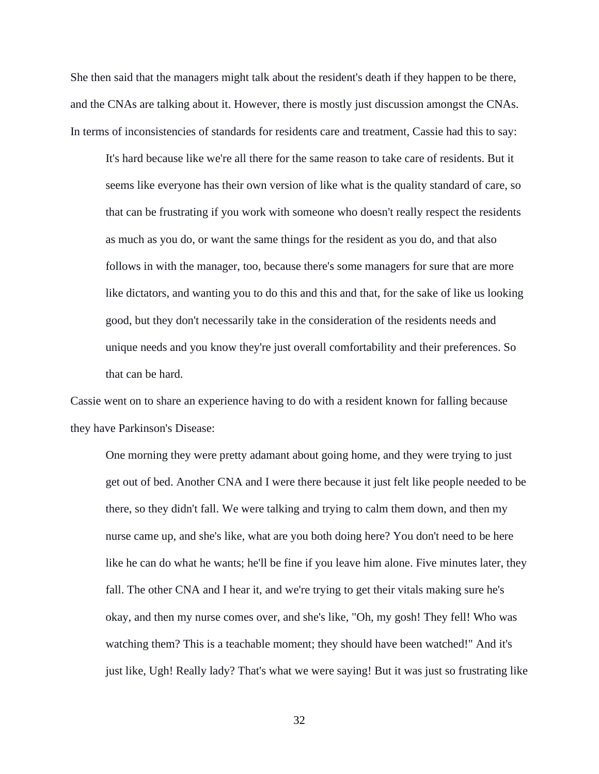She then said that the managers might talk about the resident's death if they happen to be there, and the CNAs are talking about it. However, there is mostly just discussion amongst the CNAs. In terms of inconsistencies of standards for residents care and treatment, Cassie had this to say:

It's hard because like we're all there for the same reason to take care of residents. But it seems like everyone has their own version of like what is the quality standard of care, so that can be frustrating if you work with someone who doesn't really respect the residents as much as you do, or want the same things for the resident as you do, and that also follows in with the manager, too, because there's some managers for sure that are more like dictators, and wanting you to do this and this and that, for the sake of like us looking good, but they don't necessarily take in the consideration of the residents needs and unique needs and you know they're just overall comfortability and their preferences. So that can be hard.

Cassie went on to share an experience having to do with a resident known for falling because they have Parkinson's Disease:

One morning they were pretty adamant about going home, and they were trying to just get out of bed. Another CNA and I were there because it just felt like people needed to be there, so they didn't fall. We were talking and trying to calm them down, and then my nurse came up, and she's like, what are you both doing here? You don't need to be here like he can do what he wants; he'll be fine if you leave him alone. Five minutes later, they fall. The other CNA and I hear it, and we're trying to get their vitals making sure he's okay, and then my nurse comes over, and she's like, "Oh, my gosh! They fell! Who was watching them? This is a teachable moment; they should have been watched!" And it's just like, Ugh! Really lady? That's what we were saying! But it was just so frustrating like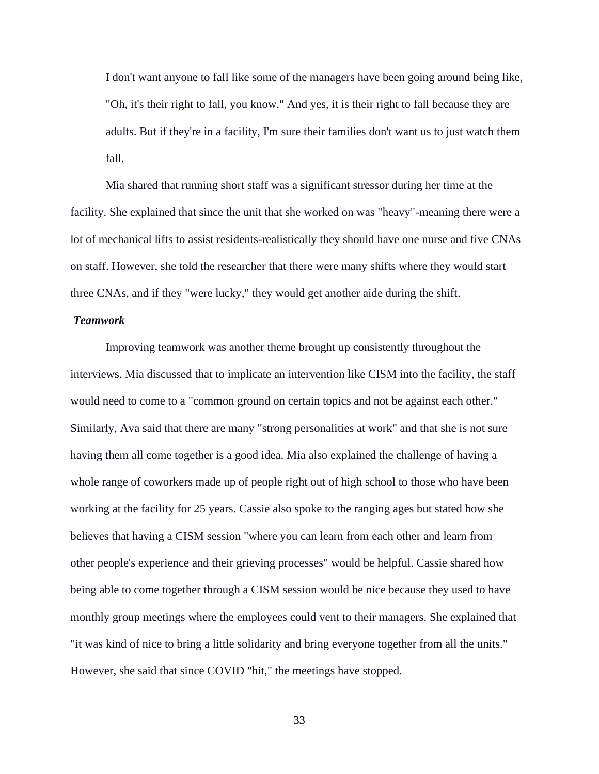I don't want anyone to fall like some of the managers have been going around being like, "Oh, it's their right to fall, you know." And yes, it is their right to fall because they are adults. But if they're in a facility, I'm sure their families don't want us to just watch them fall.

Mia shared that running short staff was a significant stressor during her time at the facility. She explained that since the unit that she worked on was "heavy"-meaning there were a lot of mechanical lifts to assist residents-realistically they should have one nurse and five CNAs on staff. However, she told the researcher that there were many shifts where they would start three CNAs, and if they "were lucky," they would get another aide during the shift.

### *Teamwork*

Improving teamwork was another theme brought up consistently throughout the interviews. Mia discussed that to implicate an intervention like CISM into the facility, the staff would need to come to a "common ground on certain topics and not be against each other." Similarly, Ava said that there are many "strong personalities at work" and that she is not sure having them all come together is a good idea. Mia also explained the challenge of having a whole range of coworkers made up of people right out of high school to those who have been working at the facility for 25 years. Cassie also spoke to the ranging ages but stated how she believes that having a CISM session "where you can learn from each other and learn from other people's experience and their grieving processes" would be helpful. Cassie shared how being able to come together through a CISM session would be nice because they used to have monthly group meetings where the employees could vent to their managers. She explained that "it was kind of nice to bring a little solidarity and bring everyone together from all the units." However, she said that since COVID "hit," the meetings have stopped.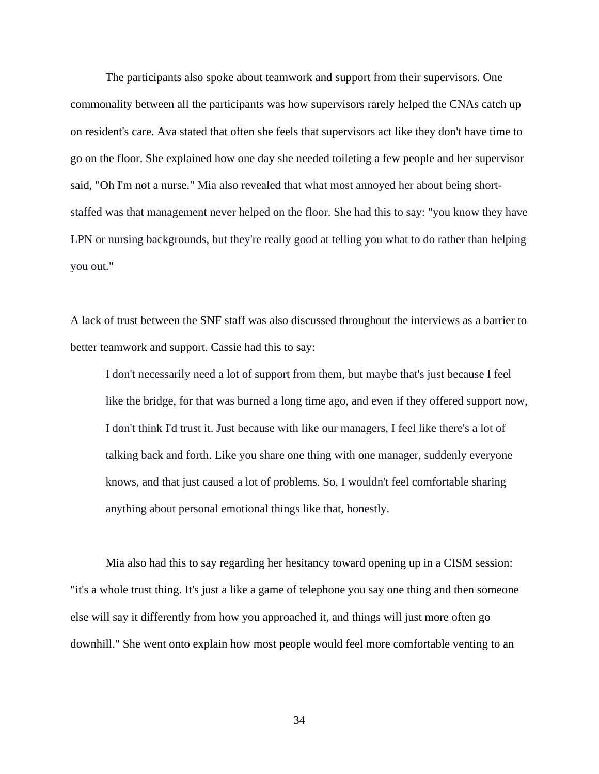The participants also spoke about teamwork and support from their supervisors. One commonality between all the participants was how supervisors rarely helped the CNAs catch up on resident's care. Ava stated that often she feels that supervisors act like they don't have time to go on the floor. She explained how one day she needed toileting a few people and her supervisor said, "Oh I'm not a nurse." Mia also revealed that what most annoyed her about being shortstaffed was that management never helped on the floor. She had this to say: "you know they have LPN or nursing backgrounds, but they're really good at telling you what to do rather than helping you out."

A lack of trust between the SNF staff was also discussed throughout the interviews as a barrier to better teamwork and support. Cassie had this to say:

I don't necessarily need a lot of support from them, but maybe that's just because I feel like the bridge, for that was burned a long time ago, and even if they offered support now, I don't think I'd trust it. Just because with like our managers, I feel like there's a lot of talking back and forth. Like you share one thing with one manager, suddenly everyone knows, and that just caused a lot of problems. So, I wouldn't feel comfortable sharing anything about personal emotional things like that, honestly.

Mia also had this to say regarding her hesitancy toward opening up in a CISM session: "it's a whole trust thing. It's just a like a game of telephone you say one thing and then someone else will say it differently from how you approached it, and things will just more often go downhill." She went onto explain how most people would feel more comfortable venting to an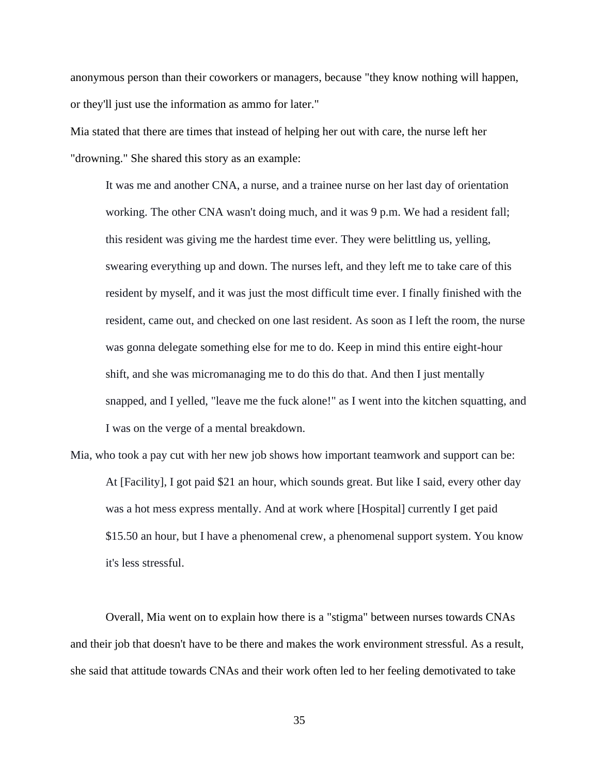anonymous person than their coworkers or managers, because "they know nothing will happen, or they'll just use the information as ammo for later."

Mia stated that there are times that instead of helping her out with care, the nurse left her "drowning." She shared this story as an example:

It was me and another CNA, a nurse, and a trainee nurse on her last day of orientation working. The other CNA wasn't doing much, and it was 9 p.m. We had a resident fall; this resident was giving me the hardest time ever. They were belittling us, yelling, swearing everything up and down. The nurses left, and they left me to take care of this resident by myself, and it was just the most difficult time ever. I finally finished with the resident, came out, and checked on one last resident. As soon as I left the room, the nurse was gonna delegate something else for me to do. Keep in mind this entire eight-hour shift, and she was micromanaging me to do this do that. And then I just mentally snapped, and I yelled, "leave me the fuck alone!" as I went into the kitchen squatting, and I was on the verge of a mental breakdown.

Mia, who took a pay cut with her new job shows how important teamwork and support can be: At [Facility], I got paid \$21 an hour, which sounds great. But like I said, every other day was a hot mess express mentally. And at work where [Hospital] currently I get paid \$15.50 an hour, but I have a phenomenal crew, a phenomenal support system. You know it's less stressful.

Overall, Mia went on to explain how there is a "stigma" between nurses towards CNAs and their job that doesn't have to be there and makes the work environment stressful. As a result, she said that attitude towards CNAs and their work often led to her feeling demotivated to take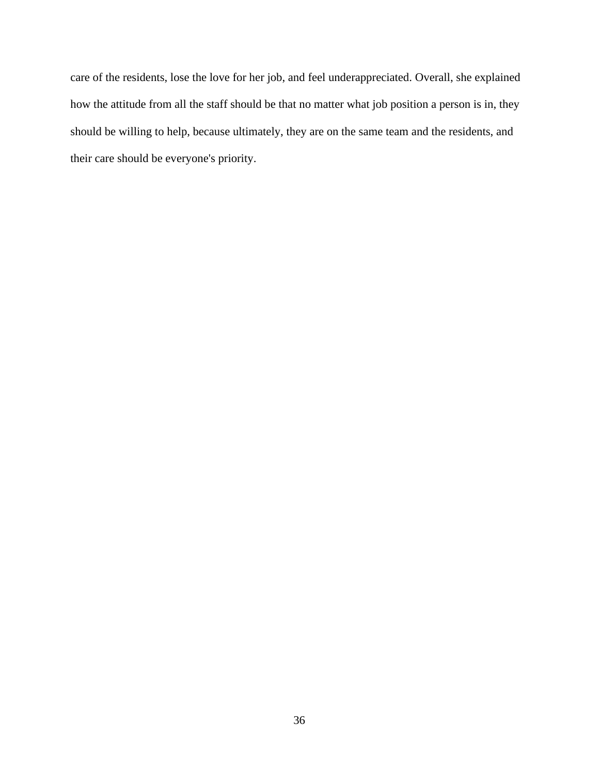care of the residents, lose the love for her job, and feel underappreciated. Overall, she explained how the attitude from all the staff should be that no matter what job position a person is in, they should be willing to help, because ultimately, they are on the same team and the residents, and their care should be everyone's priority.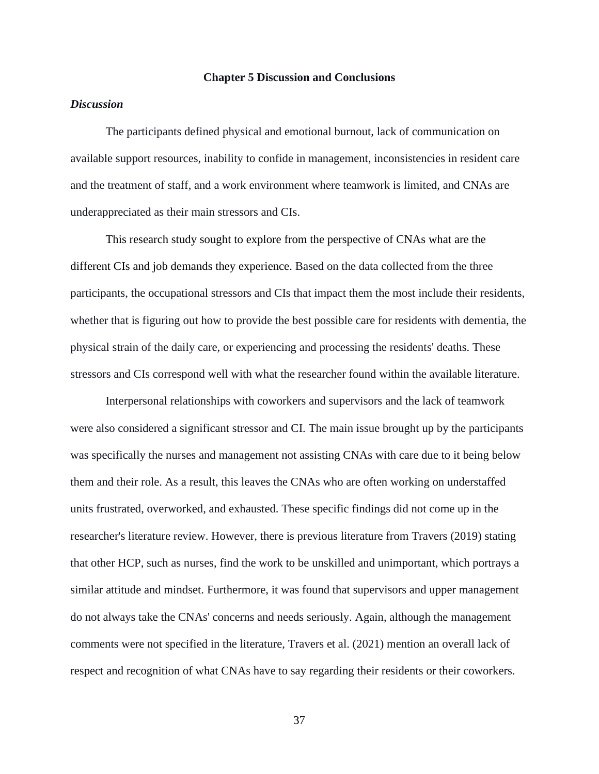#### **Chapter 5 Discussion and Conclusions**

### *Discussion*

The participants defined physical and emotional burnout, lack of communication on available support resources, inability to confide in management, inconsistencies in resident care and the treatment of staff, and a work environment where teamwork is limited, and CNAs are underappreciated as their main stressors and CIs.

This research study sought to explore from the perspective of CNAs what are the different CIs and job demands they experience. Based on the data collected from the three participants, the occupational stressors and CIs that impact them the most include their residents, whether that is figuring out how to provide the best possible care for residents with dementia, the physical strain of the daily care, or experiencing and processing the residents' deaths. These stressors and CIs correspond well with what the researcher found within the available literature.

Interpersonal relationships with coworkers and supervisors and the lack of teamwork were also considered a significant stressor and CI. The main issue brought up by the participants was specifically the nurses and management not assisting CNAs with care due to it being below them and their role. As a result, this leaves the CNAs who are often working on understaffed units frustrated, overworked, and exhausted. These specific findings did not come up in the researcher's literature review. However, there is previous literature from Travers (2019) stating that other HCP, such as nurses, find the work to be unskilled and unimportant, which portrays a similar attitude and mindset. Furthermore, it was found that supervisors and upper management do not always take the CNAs' concerns and needs seriously. Again, although the management comments were not specified in the literature, Travers et al. (2021) mention an overall lack of respect and recognition of what CNAs have to say regarding their residents or their coworkers.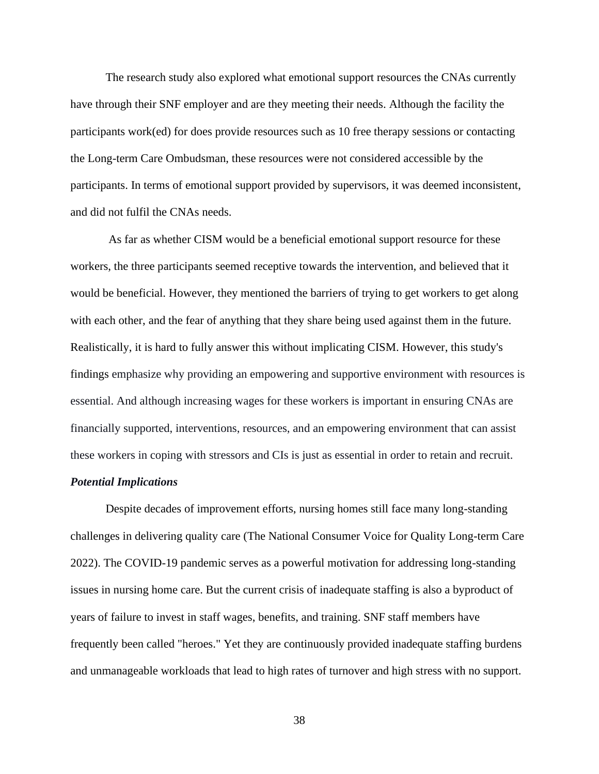The research study also explored what emotional support resources the CNAs currently have through their SNF employer and are they meeting their needs. Although the facility the participants work(ed) for does provide resources such as 10 free therapy sessions or contacting the Long-term Care Ombudsman, these resources were not considered accessible by the participants. In terms of emotional support provided by supervisors, it was deemed inconsistent, and did not fulfil the CNAs needs.

As far as whether CISM would be a beneficial emotional support resource for these workers, the three participants seemed receptive towards the intervention, and believed that it would be beneficial. However, they mentioned the barriers of trying to get workers to get along with each other, and the fear of anything that they share being used against them in the future. Realistically, it is hard to fully answer this without implicating CISM. However, this study's findings emphasize why providing an empowering and supportive environment with resources is essential. And although increasing wages for these workers is important in ensuring CNAs are financially supported, interventions, resources, and an empowering environment that can assist these workers in coping with stressors and CIs is just as essential in order to retain and recruit.

#### *Potential Implications*

Despite decades of improvement efforts, nursing homes still face many long-standing challenges in delivering quality care (The National Consumer Voice for Quality Long-term Care 2022). The COVID-19 pandemic serves as a powerful motivation for addressing long-standing issues in nursing home care. But the current crisis of inadequate staffing is also a byproduct of years of failure to invest in staff wages, benefits, and training. SNF staff members have frequently been called "heroes." Yet they are continuously provided inadequate staffing burdens and unmanageable workloads that lead to high rates of turnover and high stress with no support.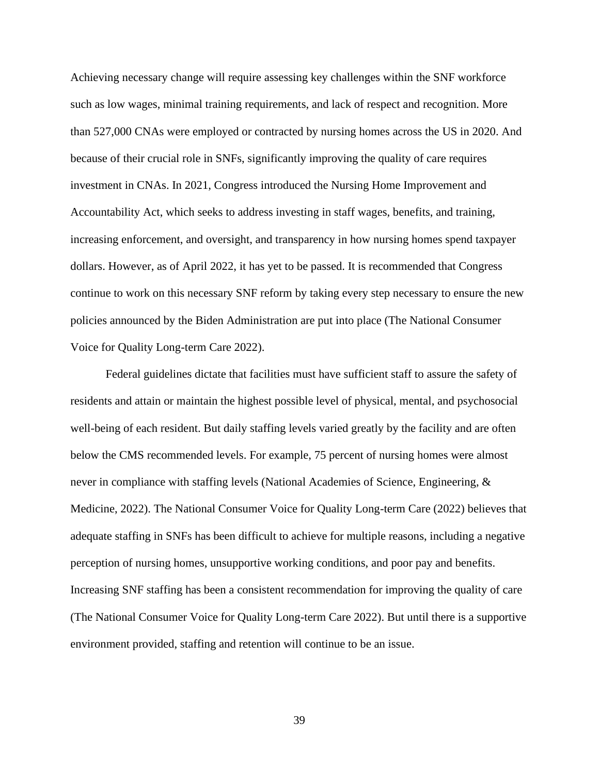Achieving necessary change will require assessing key challenges within the SNF workforce such as low wages, minimal training requirements, and lack of respect and recognition. More than 527,000 CNAs were employed or contracted by nursing homes across the US in 2020. And because of their crucial role in SNFs, significantly improving the quality of care requires investment in CNAs. In 2021, Congress introduced the Nursing Home Improvement and Accountability Act, which seeks to address investing in staff wages, benefits, and training, increasing enforcement, and oversight, and transparency in how nursing homes spend taxpayer dollars. However, as of April 2022, it has yet to be passed. It is recommended that Congress continue to work on this necessary SNF reform by taking every step necessary to ensure the new policies announced by the Biden Administration are put into place (The National Consumer Voice for Quality Long-term Care 2022).

Federal guidelines dictate that facilities must have sufficient staff to assure the safety of residents and attain or maintain the highest possible level of physical, mental, and psychosocial well-being of each resident. But daily staffing levels varied greatly by the facility and are often below the CMS recommended levels. For example, 75 percent of nursing homes were almost never in compliance with staffing levels (National Academies of Science, Engineering, & Medicine, 2022). The National Consumer Voice for Quality Long-term Care (2022) believes that adequate staffing in SNFs has been difficult to achieve for multiple reasons, including a negative perception of nursing homes, unsupportive working conditions, and poor pay and benefits. Increasing SNF staffing has been a consistent recommendation for improving the quality of care (The National Consumer Voice for Quality Long-term Care 2022). But until there is a supportive environment provided, staffing and retention will continue to be an issue.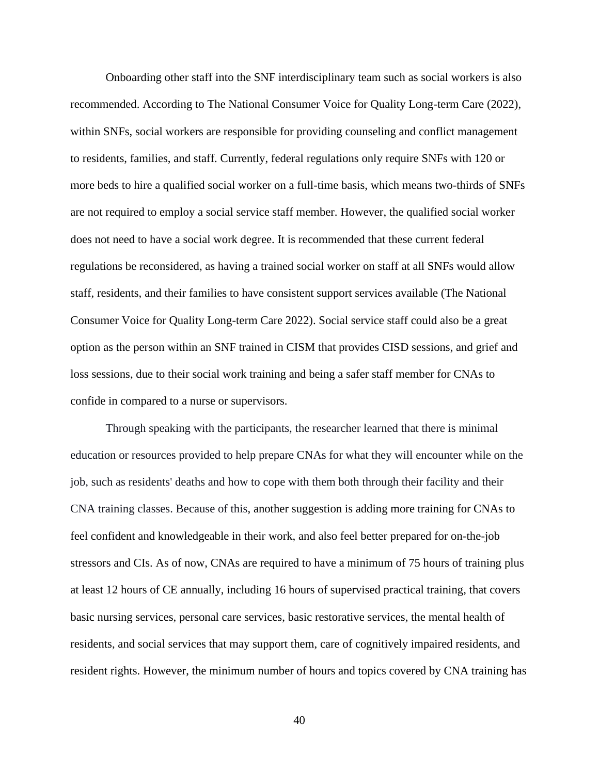Onboarding other staff into the SNF interdisciplinary team such as social workers is also recommended. According to The National Consumer Voice for Quality Long-term Care (2022), within SNFs, social workers are responsible for providing counseling and conflict management to residents, families, and staff. Currently, federal regulations only require SNFs with 120 or more beds to hire a qualified social worker on a full-time basis, which means two-thirds of SNFs are not required to employ a social service staff member. However, the qualified social worker does not need to have a social work degree. It is recommended that these current federal regulations be reconsidered, as having a trained social worker on staff at all SNFs would allow staff, residents, and their families to have consistent support services available (The National Consumer Voice for Quality Long-term Care 2022). Social service staff could also be a great option as the person within an SNF trained in CISM that provides CISD sessions, and grief and loss sessions, due to their social work training and being a safer staff member for CNAs to confide in compared to a nurse or supervisors.

Through speaking with the participants, the researcher learned that there is minimal education or resources provided to help prepare CNAs for what they will encounter while on the job, such as residents' deaths and how to cope with them both through their facility and their CNA training classes. Because of this, another suggestion is adding more training for CNAs to feel confident and knowledgeable in their work, and also feel better prepared for on-the-job stressors and CIs. As of now, CNAs are required to have a minimum of 75 hours of training plus at least 12 hours of CE annually, including 16 hours of supervised practical training, that covers basic nursing services, personal care services, basic restorative services, the mental health of residents, and social services that may support them, care of cognitively impaired residents, and resident rights. However, the minimum number of hours and topics covered by CNA training has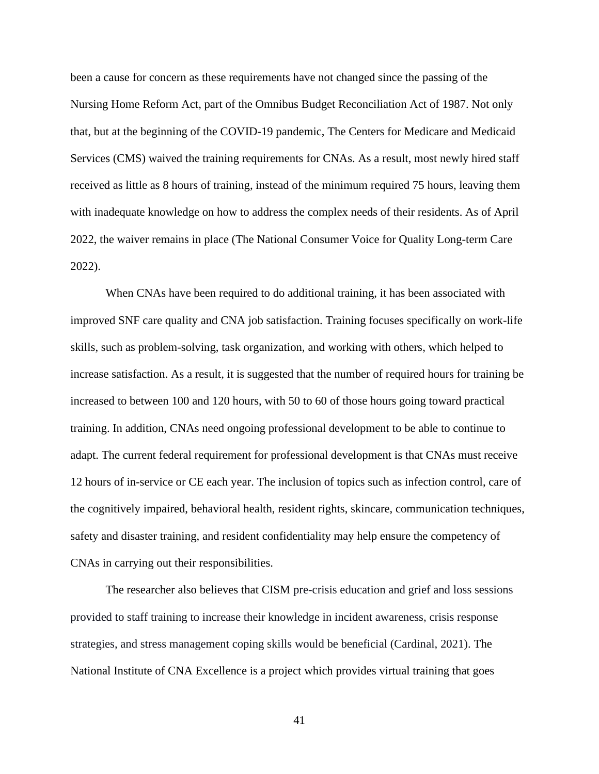been a cause for concern as these requirements have not changed since the passing of the Nursing Home Reform Act, part of the Omnibus Budget Reconciliation Act of 1987. Not only that, but at the beginning of the COVID-19 pandemic, The Centers for Medicare and Medicaid Services (CMS) waived the training requirements for CNAs. As a result, most newly hired staff received as little as 8 hours of training, instead of the minimum required 75 hours, leaving them with inadequate knowledge on how to address the complex needs of their residents. As of April 2022, the waiver remains in place (The National Consumer Voice for Quality Long-term Care 2022).

When CNAs have been required to do additional training, it has been associated with improved SNF care quality and CNA job satisfaction. Training focuses specifically on work-life skills, such as problem-solving, task organization, and working with others, which helped to increase satisfaction. As a result, it is suggested that the number of required hours for training be increased to between 100 and 120 hours, with 50 to 60 of those hours going toward practical training. In addition, CNAs need ongoing professional development to be able to continue to adapt. The current federal requirement for professional development is that CNAs must receive 12 hours of in-service or CE each year. The inclusion of topics such as infection control, care of the cognitively impaired, behavioral health, resident rights, skincare, communication techniques, safety and disaster training, and resident confidentiality may help ensure the competency of CNAs in carrying out their responsibilities.

The researcher also believes that CISM pre-crisis education and grief and loss sessions provided to staff training to increase their knowledge in incident awareness, crisis response strategies, and stress management coping skills would be beneficial (Cardinal, 2021). The National Institute of CNA Excellence is a project which provides virtual training that goes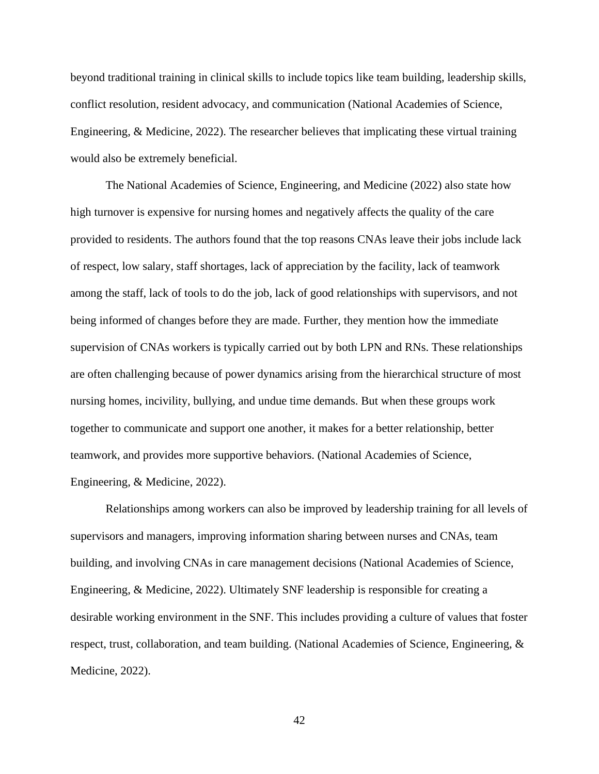beyond traditional training in clinical skills to include topics like team building, leadership skills, conflict resolution, resident advocacy, and communication (National Academies of Science, Engineering, & Medicine, 2022). The researcher believes that implicating these virtual training would also be extremely beneficial.

The National Academies of Science, Engineering, and Medicine (2022) also state how high turnover is expensive for nursing homes and negatively affects the quality of the care provided to residents. The authors found that the top reasons CNAs leave their jobs include lack of respect, low salary, staff shortages, lack of appreciation by the facility, lack of teamwork among the staff, lack of tools to do the job, lack of good relationships with supervisors, and not being informed of changes before they are made. Further, they mention how the immediate supervision of CNAs workers is typically carried out by both LPN and RNs. These relationships are often challenging because of power dynamics arising from the hierarchical structure of most nursing homes, incivility, bullying, and undue time demands. But when these groups work together to communicate and support one another, it makes for a better relationship, better teamwork, and provides more supportive behaviors. (National Academies of Science, Engineering, & Medicine, 2022).

Relationships among workers can also be improved by leadership training for all levels of supervisors and managers, improving information sharing between nurses and CNAs, team building, and involving CNAs in care management decisions (National Academies of Science, Engineering, & Medicine, 2022). Ultimately SNF leadership is responsible for creating a desirable working environment in the SNF. This includes providing a culture of values that foster respect, trust, collaboration, and team building. (National Academies of Science, Engineering, & Medicine, 2022).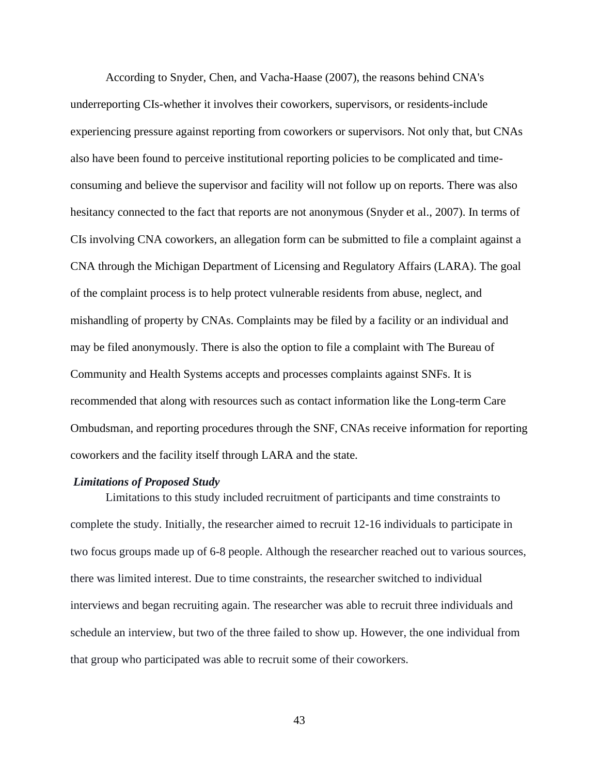According to Snyder, Chen, and Vacha-Haase (2007), the reasons behind CNA's underreporting CIs-whether it involves their coworkers, supervisors, or residents-include experiencing pressure against reporting from coworkers or supervisors. Not only that, but CNAs also have been found to perceive institutional reporting policies to be complicated and timeconsuming and believe the supervisor and facility will not follow up on reports. There was also hesitancy connected to the fact that reports are not anonymous (Snyder et al., 2007). In terms of CIs involving CNA coworkers, an allegation form can be submitted to file a complaint against a CNA through the Michigan Department of Licensing and Regulatory Affairs (LARA). The goal of the complaint process is to help protect vulnerable residents from abuse, neglect, and mishandling of property by CNAs. Complaints may be filed by a facility or an individual and may be filed anonymously. There is also the option to file a complaint with The Bureau of Community and Health Systems accepts and processes complaints against SNFs. It is recommended that along with resources such as contact information like the Long-term Care Ombudsman, and reporting procedures through the SNF, CNAs receive information for reporting coworkers and the facility itself through LARA and the state.

#### *Limitations of Proposed Study*

Limitations to this study included recruitment of participants and time constraints to complete the study. Initially, the researcher aimed to recruit 12-16 individuals to participate in two focus groups made up of 6-8 people. Although the researcher reached out to various sources, there was limited interest. Due to time constraints, the researcher switched to individual interviews and began recruiting again. The researcher was able to recruit three individuals and schedule an interview, but two of the three failed to show up. However, the one individual from that group who participated was able to recruit some of their coworkers.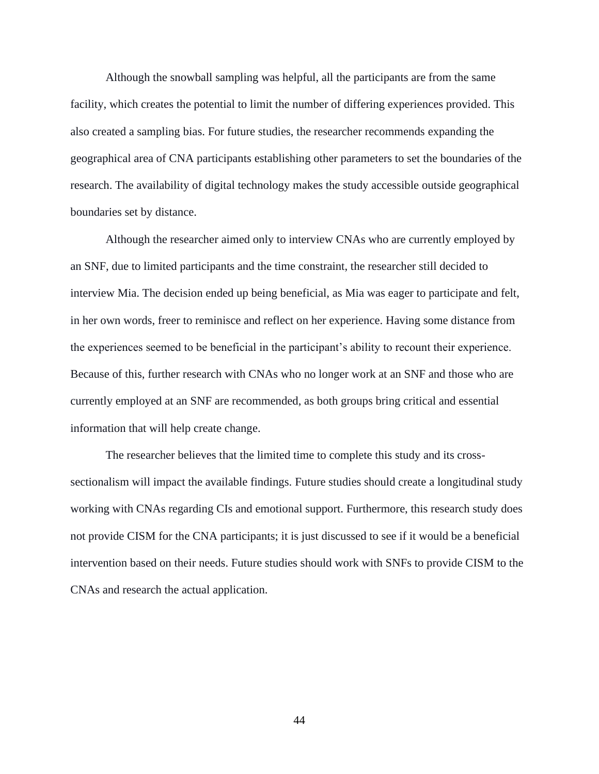Although the snowball sampling was helpful, all the participants are from the same facility, which creates the potential to limit the number of differing experiences provided. This also created a sampling bias. For future studies, the researcher recommends expanding the geographical area of CNA participants establishing other parameters to set the boundaries of the research. The availability of digital technology makes the study accessible outside geographical boundaries set by distance.

Although the researcher aimed only to interview CNAs who are currently employed by an SNF, due to limited participants and the time constraint, the researcher still decided to interview Mia. The decision ended up being beneficial, as Mia was eager to participate and felt, in her own words, freer to reminisce and reflect on her experience. Having some distance from the experiences seemed to be beneficial in the participant's ability to recount their experience. Because of this, further research with CNAs who no longer work at an SNF and those who are currently employed at an SNF are recommended, as both groups bring critical and essential information that will help create change.

The researcher believes that the limited time to complete this study and its crosssectionalism will impact the available findings. Future studies should create a longitudinal study working with CNAs regarding CIs and emotional support. Furthermore, this research study does not provide CISM for the CNA participants; it is just discussed to see if it would be a beneficial intervention based on their needs. Future studies should work with SNFs to provide CISM to the CNAs and research the actual application.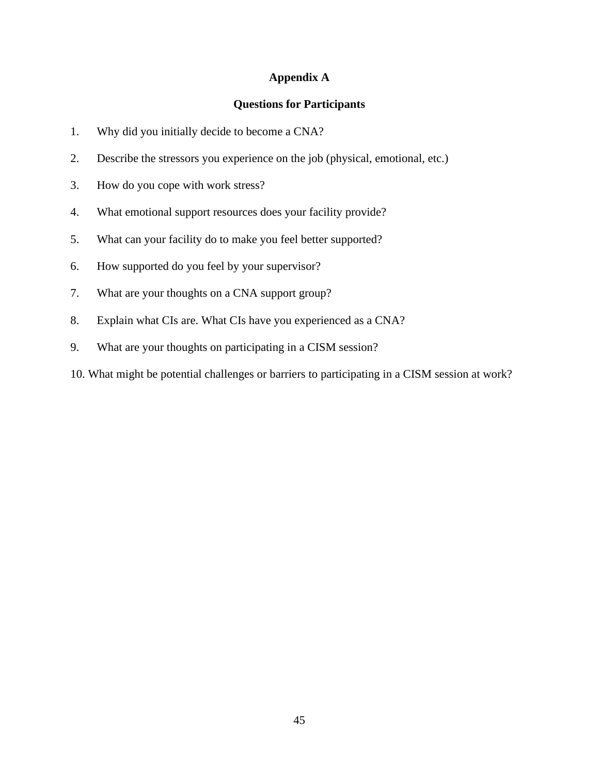# **Appendix A**

### **Questions for Participants**

- 1. Why did you initially decide to become a CNA?
- 2. Describe the stressors you experience on the job (physical, emotional, etc.)
- 3. How do you cope with work stress?
- 4. What emotional support resources does your facility provide?
- 5. What can your facility do to make you feel better supported?
- 6. How supported do you feel by your supervisor?
- 7. What are your thoughts on a CNA support group?
- 8. Explain what CIs are. What CIs have you experienced as a CNA?
- 9. What are your thoughts on participating in a CISM session?
- 10. What might be potential challenges or barriers to participating in a CISM session at work?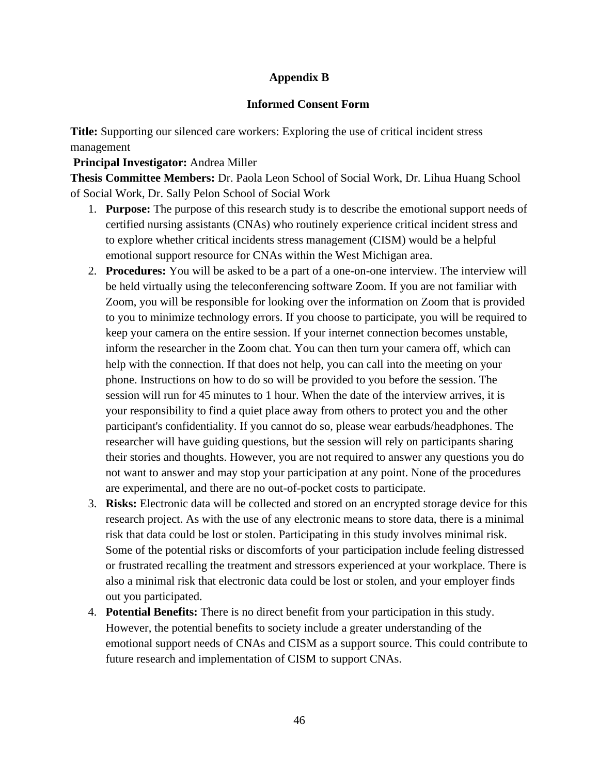# **Appendix B**

# **Informed Consent Form**

**Title:** Supporting our silenced care workers: Exploring the use of critical incident stress management

# **Principal Investigator:** Andrea Miller

**Thesis Committee Members:** Dr. Paola Leon School of Social Work, Dr. Lihua Huang School of Social Work, Dr. Sally Pelon School of Social Work

- 1. **Purpose:** The purpose of this research study is to describe the emotional support needs of certified nursing assistants (CNAs) who routinely experience critical incident stress and to explore whether critical incidents stress management (CISM) would be a helpful emotional support resource for CNAs within the West Michigan area.
- 2. **Procedures:** You will be asked to be a part of a one-on-one interview. The interview will be held virtually using the teleconferencing software Zoom. If you are not familiar with Zoom, you will be responsible for looking over the information on Zoom that is provided to you to minimize technology errors. If you choose to participate, you will be required to keep your camera on the entire session. If your internet connection becomes unstable, inform the researcher in the Zoom chat. You can then turn your camera off, which can help with the connection. If that does not help, you can call into the meeting on your phone. Instructions on how to do so will be provided to you before the session. The session will run for 45 minutes to 1 hour. When the date of the interview arrives, it is your responsibility to find a quiet place away from others to protect you and the other participant's confidentiality. If you cannot do so, please wear earbuds/headphones. The researcher will have guiding questions, but the session will rely on participants sharing their stories and thoughts. However, you are not required to answer any questions you do not want to answer and may stop your participation at any point. None of the procedures are experimental, and there are no out-of-pocket costs to participate.
- 3. **Risks:** Electronic data will be collected and stored on an encrypted storage device for this research project. As with the use of any electronic means to store data, there is a minimal risk that data could be lost or stolen. Participating in this study involves minimal risk. Some of the potential risks or discomforts of your participation include feeling distressed or frustrated recalling the treatment and stressors experienced at your workplace. There is also a minimal risk that electronic data could be lost or stolen, and your employer finds out you participated.
- 4. **Potential Benefits:** There is no direct benefit from your participation in this study. However, the potential benefits to society include a greater understanding of the emotional support needs of CNAs and CISM as a support source. This could contribute to future research and implementation of CISM to support CNAs.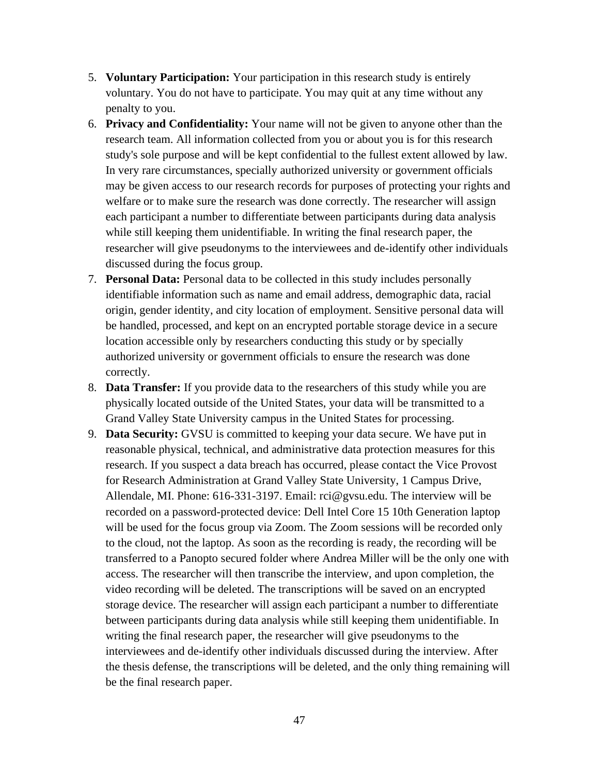- 5. **Voluntary Participation:** Your participation in this research study is entirely voluntary. You do not have to participate. You may quit at any time without any penalty to you.
- 6. **Privacy and Confidentiality:** Your name will not be given to anyone other than the research team. All information collected from you or about you is for this research study's sole purpose and will be kept confidential to the fullest extent allowed by law. In very rare circumstances, specially authorized university or government officials may be given access to our research records for purposes of protecting your rights and welfare or to make sure the research was done correctly. The researcher will assign each participant a number to differentiate between participants during data analysis while still keeping them unidentifiable. In writing the final research paper, the researcher will give pseudonyms to the interviewees and de-identify other individuals discussed during the focus group.
- 7. **Personal Data:** Personal data to be collected in this study includes personally identifiable information such as name and email address, demographic data, racial origin, gender identity, and city location of employment. Sensitive personal data will be handled, processed, and kept on an encrypted portable storage device in a secure location accessible only by researchers conducting this study or by specially authorized university or government officials to ensure the research was done correctly.
- 8. **Data Transfer:** If you provide data to the researchers of this study while you are physically located outside of the United States, your data will be transmitted to a Grand Valley State University campus in the United States for processing.
- 9. **Data Security:** GVSU is committed to keeping your data secure. We have put in reasonable physical, technical, and administrative data protection measures for this research. If you suspect a data breach has occurred, please contact the Vice Provost for Research Administration at Grand Valley State University, 1 Campus Drive, Allendale, MI. Phone: 616-331-3197. Email: rci@gvsu.edu. The interview will be recorded on a password-protected device: Dell Intel Core 15 10th Generation laptop will be used for the focus group via Zoom. The Zoom sessions will be recorded only to the cloud, not the laptop. As soon as the recording is ready, the recording will be transferred to a Panopto secured folder where Andrea Miller will be the only one with access. The researcher will then transcribe the interview, and upon completion, the video recording will be deleted. The transcriptions will be saved on an encrypted storage device. The researcher will assign each participant a number to differentiate between participants during data analysis while still keeping them unidentifiable. In writing the final research paper, the researcher will give pseudonyms to the interviewees and de-identify other individuals discussed during the interview. After the thesis defense, the transcriptions will be deleted, and the only thing remaining will be the final research paper.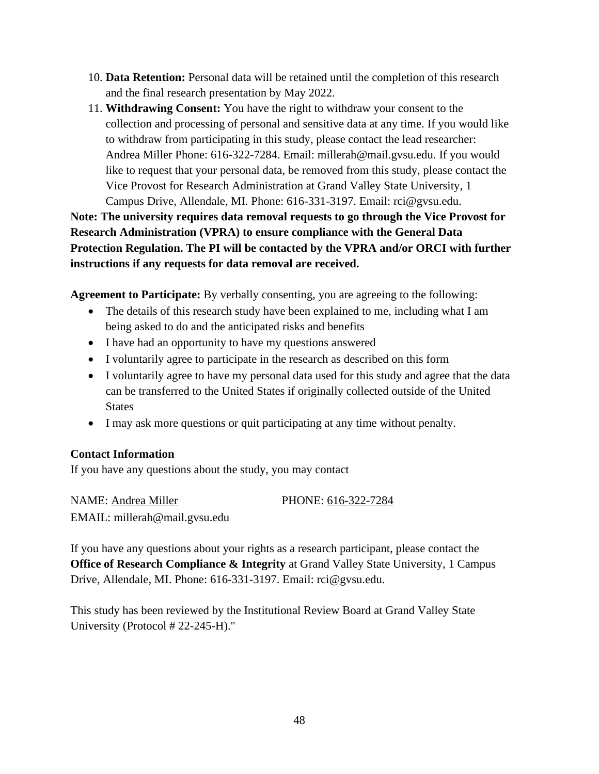- 10. **Data Retention:** Personal data will be retained until the completion of this research and the final research presentation by May 2022.
- 11. **Withdrawing Consent:** You have the right to withdraw your consent to the collection and processing of personal and sensitive data at any time. If you would like to withdraw from participating in this study, please contact the lead researcher: Andrea Miller Phone: 616-322-7284. Email: millerah@mail.gvsu.edu. If you would like to request that your personal data, be removed from this study, please contact the Vice Provost for Research Administration at Grand Valley State University, 1 Campus Drive, Allendale, MI. Phone: 616-331-3197. Email: rci@gvsu.edu.

**Note: The university requires data removal requests to go through the Vice Provost for Research Administration (VPRA) to ensure compliance with the General Data Protection Regulation. The PI will be contacted by the VPRA and/or ORCI with further instructions if any requests for data removal are received.**

**Agreement to Participate:** By verbally consenting, you are agreeing to the following:

- The details of this research study have been explained to me, including what I am being asked to do and the anticipated risks and benefits
- I have had an opportunity to have my questions answered
- I voluntarily agree to participate in the research as described on this form
- I voluntarily agree to have my personal data used for this study and agree that the data can be transferred to the United States if originally collected outside of the United States
- I may ask more questions or quit participating at any time without penalty.

# **Contact Information**

If you have any questions about the study, you may contact

NAME: Andrea Miller PHONE: 616-322-7284 EMAIL: millerah@mail.gvsu.edu

If you have any questions about your rights as a research participant, please contact the **Office of Research Compliance & Integrity at Grand Valley State University, 1 Campus** Drive, Allendale, MI. Phone: 616-331-3197. Email: rci@gvsu.edu.

This study has been reviewed by the Institutional Review Board at Grand Valley State University (Protocol # 22-245-H)."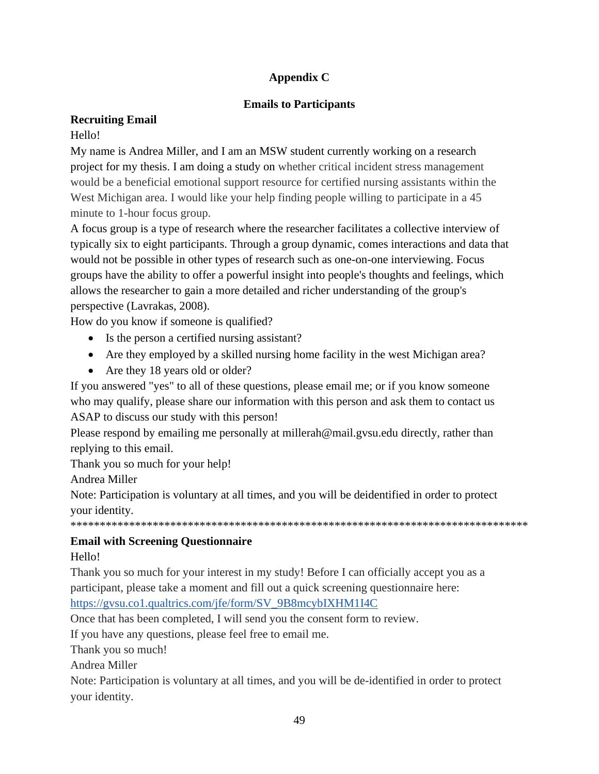# **Appendix C**

# **Emails to Participants**

# **Recruiting Email**

# Hello!

My name is Andrea Miller, and I am an MSW student currently working on a research project for my thesis. I am doing a study on whether critical incident stress management would be a beneficial emotional support resource for certified nursing assistants within the West Michigan area. I would like your help finding people willing to participate in a 45 minute to 1-hour focus group.

A focus group is a type of research where the researcher facilitates a collective interview of typically six to eight participants. Through a group dynamic, comes interactions and data that would not be possible in other types of research such as one-on-one interviewing. Focus groups have the ability to offer a powerful insight into people's thoughts and feelings, which allows the researcher to gain a more detailed and richer understanding of the group's perspective (Lavrakas, 2008).

How do you know if someone is qualified?

- Is the person a certified nursing assistant?
- Are they employed by a skilled nursing home facility in the west Michigan area?
- Are they 18 years old or older?

If you answered "yes" to all of these questions, please email me; or if you know someone who may qualify, please share our information with this person and ask them to contact us ASAP to discuss our study with this person!

Please respond by emailing me personally at millerah@mail.gvsu.edu directly, rather than replying to this email.

Thank you so much for your help!

Andrea Miller

Note: Participation is voluntary at all times, and you will be deidentified in order to protect your identity.

\*\*\*\*\*\*\*\*\*\*\*\*\*\*\*\*\*\*\*\*\*\*\*\*\*\*\*\*\*\*\*\*\*\*\*\*\*\*\*\*\*\*\*\*\*\*\*\*\*\*\*\*\*\*\*\*\*\*\*\*\*\*\*\*\*\*\*\*\*\*\*\*\*\*\*\*\*\*

# **Email with Screening Questionnaire**

Hello!

Thank you so much for your interest in my study! Before I can officially accept you as a participant, please take a moment and fill out a quick screening questionnaire here: [https://gvsu.co1.qualtrics.com/jfe/form/SV\\_9B8mcybIXHM1I4C](https://gvsu.co1.qualtrics.com/jfe/form/SV_9B8mcybIXHM1I4C)

Once that has been completed, I will send you the consent form to review.

If you have any questions, please feel free to email me.

Thank you so much!

Andrea Miller

Note: Participation is voluntary at all times, and you will be de-identified in order to protect your identity.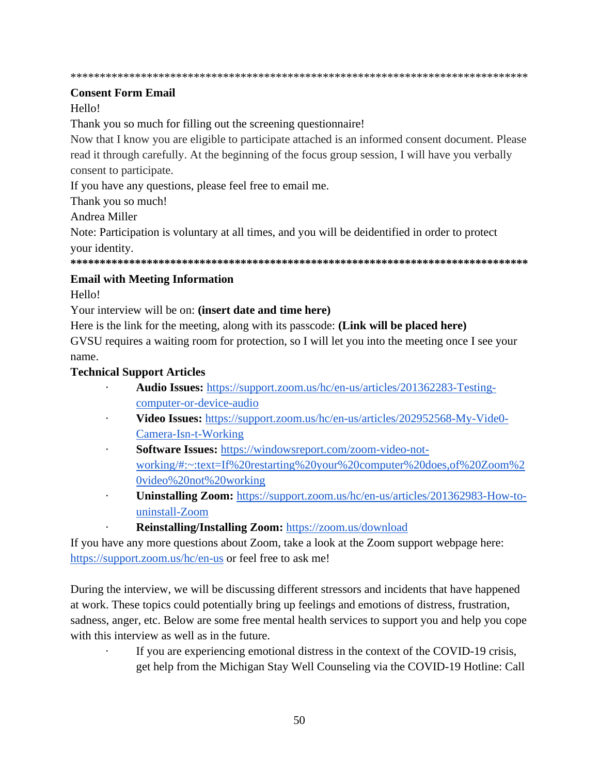\*\*\*\*\*\*\*\*\*\*\*\*\*\*\*\*\*\*\*\*\*\*\*\*\*\*\*\*\*\*\*\*\*\*\*\*\*\*\*\*\*\*\*\*\*\*\*\*\*\*\*\*\*\*\*\*\*\*\*\*\*\*\*\*\*\*\*\*\*\*\*\*\*\*\*\*\*\*

### **Consent Form Email**

# Hello!

Thank you so much for filling out the screening questionnaire!

Now that I know you are eligible to participate attached is an informed consent document. Please read it through carefully. At the beginning of the focus group session, I will have you verbally consent to participate.

If you have any questions, please feel free to email me.

Thank you so much!

Andrea Miller

Note: Participation is voluntary at all times, and you will be deidentified in order to protect your identity.

**\*\*\*\*\*\*\*\*\*\*\*\*\*\*\*\*\*\*\*\*\*\*\*\*\*\*\*\*\*\*\*\*\*\*\*\*\*\*\*\*\*\*\*\*\*\*\*\*\*\*\*\*\*\*\*\*\*\*\*\*\*\*\*\*\*\*\*\*\*\*\*\*\*\*\*\*\*\***

### **Email with Meeting Information**

Hello!

Your interview will be on: **(insert date and time here)**

Here is the link for the meeting, along with its passcode: **(Link will be placed here)** GVSU requires a waiting room for protection, so I will let you into the meeting once I see your name.

### **Technical Support Articles**

- · **Audio Issues[:](https://support.zoom.us/hc/en-us/articles/201362283-Testing-computer-or-device-audio)** [https://support.zoom.us/hc/en-us/articles/201362283-Testing](https://support.zoom.us/hc/en-us/articles/201362283-Testing-computer-or-device-audio)[computer-or-device-audio](https://support.zoom.us/hc/en-us/articles/201362283-Testing-computer-or-device-audio)
- · **Video Issues:** [https://support.zoom.us/hc/en-us/articles/202952568-My-Vide0-](https://support.zoom.us/hc/en-us/articles/202952568-My-Vide0-Camera-Isn-t-Working) [Camera-Isn-t-Working](https://support.zoom.us/hc/en-us/articles/202952568-My-Vide0-Camera-Isn-t-Working)
- Software Issues: [https://windowsreport.com/zoom-video-not](https://windowsreport.com/zoom-video-not-working/#:~:text=If%20restarting%20your%20computer%20does,of%20Zoom%20video%20not%20working)[working/#:~:text=If%20restarting%20your%20computer%20does,of%20Zoom%2](https://windowsreport.com/zoom-video-not-working/#:~:text=If%20restarting%20your%20computer%20does,of%20Zoom%20video%20not%20working) [0video%20not%20working](https://windowsreport.com/zoom-video-not-working/#:~:text=If%20restarting%20your%20computer%20does,of%20Zoom%20video%20not%20working)
- · **Uninstalling Zoom:** [https://support.zoom.us/hc/en-us/articles/201362983-How-to](https://support.zoom.us/hc/en-us/articles/201362983-How-to-uninstall-Zoom)[uninstall-Zoom](https://support.zoom.us/hc/en-us/articles/201362983-How-to-uninstall-Zoom)
	- · **Reinstalling/Installing Zoom[:](https://zoom.us/download)** <https://zoom.us/download>

If you have any more questions about Zoom, take a look at the Zoom support webpage here[:](https://support.zoom.us/hc/en-us) <https://support.zoom.us/hc/en-us> or feel free to ask me!

During the interview, we will be discussing different stressors and incidents that have happened at work. These topics could potentially bring up feelings and emotions of distress, frustration, sadness, anger, etc. Below are some free mental health services to support you and help you cope with this interview as well as in the future.

· If you are experiencing emotional distress in the context of the COVID-19 crisis, get help from the Michigan Stay Well Counseling via the COVID-19 Hotline: Call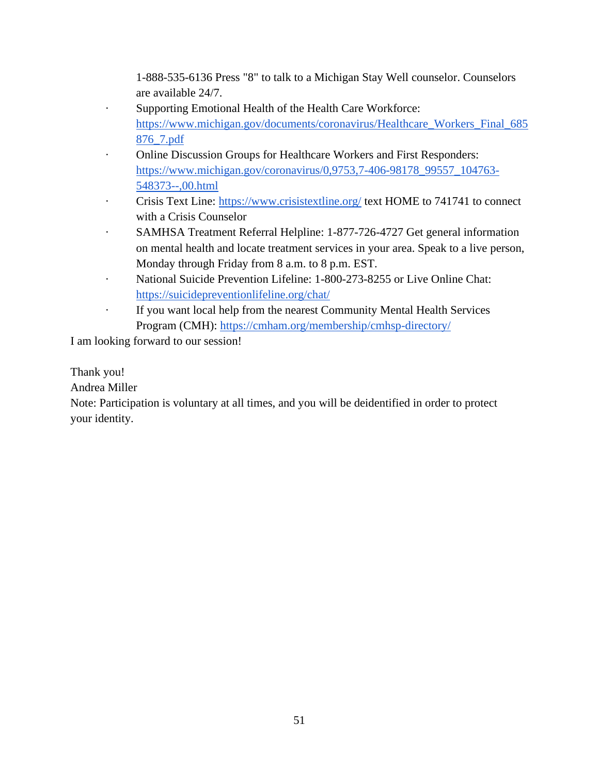1-888-535-6136 Press "8" to talk to a Michigan Stay Well counselor. Counselors are available 24/7.

- Supporting Emotional Health of the Health Care Workforce[:](https://www.michigan.gov/documents/coronavirus/Healthcare_Workers_Final_685876_7.pdf) [https://www.michigan.gov/documents/coronavirus/Healthcare\\_Workers\\_Final\\_685](https://www.michigan.gov/documents/coronavirus/Healthcare_Workers_Final_685876_7.pdf) [876\\_7.pdf](https://www.michigan.gov/documents/coronavirus/Healthcare_Workers_Final_685876_7.pdf)
- Online Discussion Groups for Healthcare Workers and First Responders[:](https://www.michigan.gov/coronavirus/0,9753,7-406-98178_99557_104763-548373--,00.html) [https://www.michigan.gov/coronavirus/0,9753,7-406-98178\\_99557\\_104763-](https://www.michigan.gov/coronavirus/0,9753,7-406-98178_99557_104763-548373--,00.html) [548373--,00.html](https://www.michigan.gov/coronavirus/0,9753,7-406-98178_99557_104763-548373--,00.html)
- Crisis Text Line[:](https://www.crisistextline.org/) <https://www.crisistextline.org/> text HOME to 741741 to connect with a Crisis Counselor
- SAMHSA Treatment Referral Helpline: 1-877-726-4727 Get general information on mental health and locate treatment services in your area. Speak to a live person, Monday through Friday from 8 a.m. to 8 p.m. EST.
- National Suicide Prevention Lifeline[:](https://suicidepreventionlifeline.org/chat/) 1-800-273-8255 or Live Online Chat: <https://suicidepreventionlifeline.org/chat/>
- · If you want local help from the nearest Community Mental Health Services Program (CMH)[:](https://cmham.org/membership/cmhsp-directory/) <https://cmham.org/membership/cmhsp-directory/>

I am looking forward to our session!

Thank you!

Andrea Miller

Note: Participation is voluntary at all times, and you will be deidentified in order to protect your identity.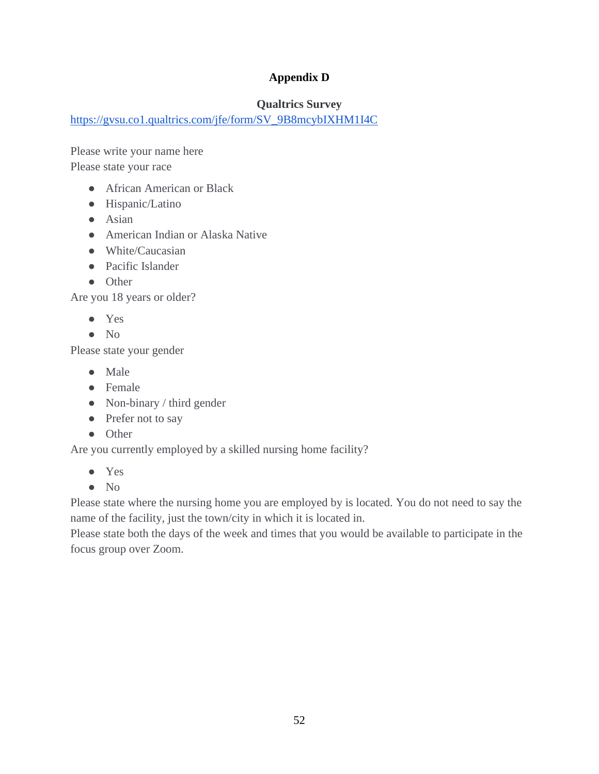# **Appendix D**

# **Qualtrics Survey**

[https://gvsu.co1.qualtrics.com/jfe/form/SV\\_9B8mcybIXHM1I4C](https://gvsu.co1.qualtrics.com/jfe/form/SV_9B8mcybIXHM1I4C)

Please write your name here Please state your race

- African American or Black
- Hispanic/Latino
- Asian
- American Indian or Alaska Native
- White/Caucasian
- Pacific Islander
- Other

Are you 18 years or older?

- Yes
- No

Please state your gender

- Male
- Female
- Non-binary / third gender
- Prefer not to say
- Other

Are you currently employed by a skilled nursing home facility?

- Yes
- No

Please state where the nursing home you are employed by is located. You do not need to say the name of the facility, just the town/city in which it is located in.

Please state both the days of the week and times that you would be available to participate in the focus group over Zoom.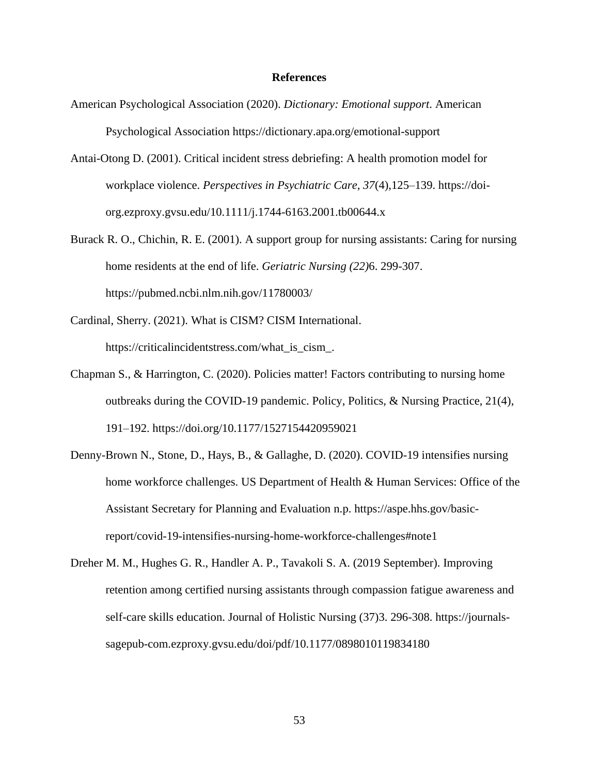#### **References**

- American Psychological Association (2020). *Dictionary: Emotional support*. American Psychological Association https://dictionary.apa.org/emotional-support
- Antai-Otong D. (2001). Critical incident stress debriefing: A health promotion model for workplace violence. *Perspectives in Psychiatric Care, 37*(4),125–139. https://doiorg.ezproxy.gvsu.edu/10.1111/j.1744-6163.2001.tb00644.x
- Burack R. O., Chichin, R. E. (2001). A support group for nursing assistants: Caring for nursing home residents at the end of life. *Geriatric Nursing (22)*6. 299-307. https://pubmed.ncbi.nlm.nih.gov/11780003/
- Cardinal, Sherry. (2021). What is CISM? CISM International[.](https://criticalincidentstress.com/what_is_cism_) https://criticalincidentstress.com/what\_is\_cism\_.
- Chapman S., & Harrington, C. (2020). Policies matter! Factors contributing to nursing home outbreaks during the COVID-19 pandemic. Policy, Politics, & Nursing Practice, 21(4), 191–192. https://doi.org/10.1177/1527154420959021
- Denny-Brown N., Stone, D., Hays, B., & Gallaghe, D. (2020). COVID-19 intensifies nursing home workforce challenges. US Department of Health & Human Services: Office of the Assistant Secretary for Planning and Evaluation n.p. https://aspe.hhs.gov/basicreport/covid-19-intensifies-nursing-home-workforce-challenges#note1
- Dreher M. M., Hughes G. R., Handler A. P., Tavakoli S. A. (2019 September). Improving retention among certified nursing assistants through compassion fatigue awareness and self-care skills education. Journal of Holistic Nursing (37)3. 296-308. https://journalssagepub-com.ezproxy.gvsu.edu/doi/pdf/10.1177/0898010119834180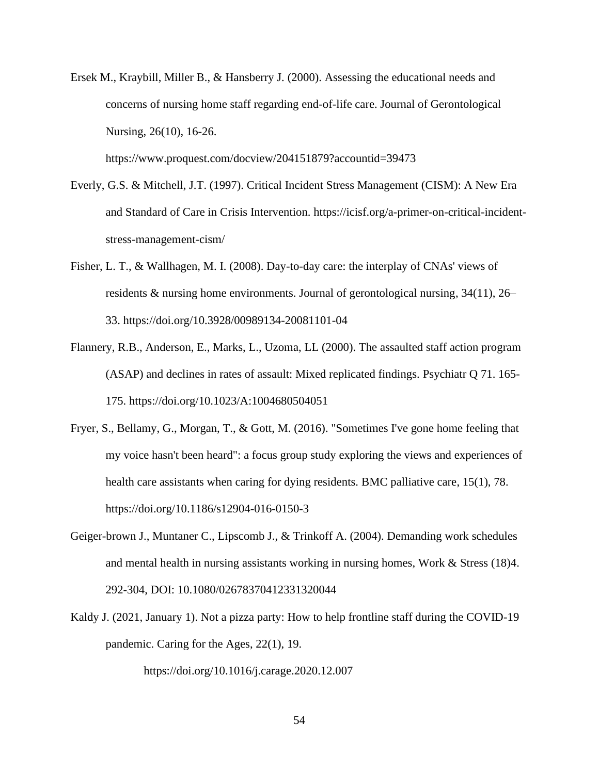Ersek M., Kraybill, Miller B., & Hansberry J. (2000). Assessing the educational needs and concerns of nursing home staff regarding end-of-life care. Journal of Gerontological Nursing, 26(10), 16-26.

https://www.proquest.com/docview/204151879?accountid=39473

- Everly, G.S. & Mitchell, J.T. (1997). Critical Incident Stress Management (CISM): A New Era and Standard of Care in Crisis Intervention. https://icisf.org/a-primer-on-critical-incidentstress-management-cism/
- Fisher, L. T., & Wallhagen, M. I. (2008). Day-to-day care: the interplay of CNAs' views of residents & nursing home environments. Journal of gerontological nursing, 34(11), 26– 33. https://doi.org/10.3928/00989134-20081101-04
- Flannery, R.B., Anderson, E., Marks, L., Uzoma, LL (2000). The assaulted staff action program (ASAP) and declines in rates of assault: Mixed replicated findings. Psychiatr Q 71. 165- 175. https://doi.org/10.1023/A:1004680504051
- Fryer, S., Bellamy, G., Morgan, T., & Gott, M. (2016). "Sometimes I've gone home feeling that my voice hasn't been heard": a focus group study exploring the views and experiences of health care assistants when caring for dying residents. BMC palliative care, 15(1), 78[.](https://doi.org/10.1186/s12904-016-0150-3) https://doi.org/10.1186/s12904-016-0150-3
- Geiger-brown J., Muntaner C., Lipscomb J., & Trinkoff A. (2004). Demanding work schedules and mental health in nursing assistants working in nursing homes, Work & Stress (18)4. 292-304, DOI: [10.1080/02678370412331320044](https://doi.org/10.1080/02678370412331320044)
- Kaldy J. (2021, January 1). Not a pizza party: How to help frontline staff during the COVID-19 pandemic. Caring for the Ages, 22(1), 19.

https://doi.org/10.1016/j.carage.2020.12.007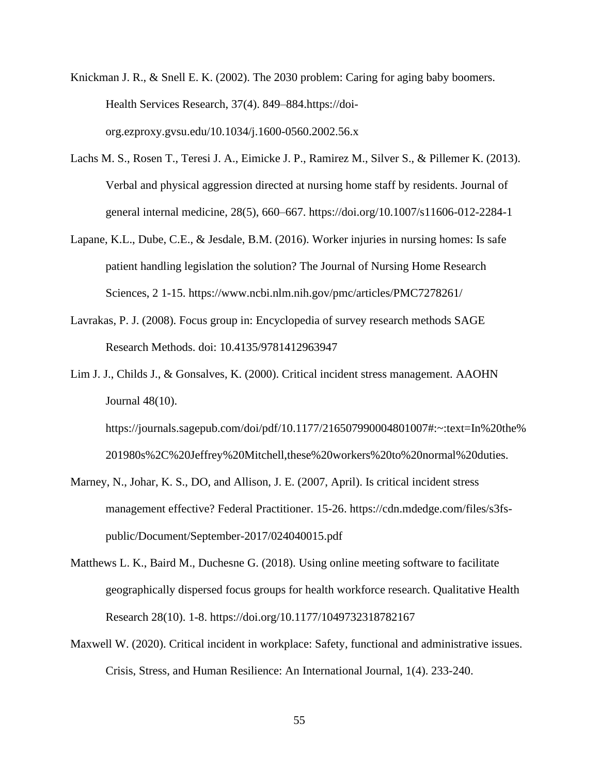- Knickman J. R., & Snell E. K. (2002). The 2030 problem: Caring for aging baby boomers. Health Services Research, 37(4). 849–884.https://doiorg.ezproxy.gvsu.edu/10.1034/j.1600-0560.2002.56.x
- Lachs M. S., Rosen T., Teresi J. A., Eimicke J. P., Ramirez M., Silver S., & Pillemer K. (2013). Verbal and physical aggression directed at nursing home staff by residents. Journal of general internal medicine, 28(5), 660–667. https://doi.org/10.1007/s11606-012-2284-1
- Lapane, K.L., Dube, C.E., & Jesdale, B.M. (2016). Worker injuries in nursing homes: Is safe patient handling legislation the solution? The Journal of Nursing Home Research Sciences, 2 1-15. https://www.ncbi.nlm.nih.gov/pmc/articles/PMC7278261/
- Lavrakas, P. J. (2008). Focus group in: Encyclopedia of survey research methods SAGE Research Methods. doi: 10.4135/9781412963947
- Lim J. J., Childs J., & Gonsalves, K. (2000). Critical incident stress management. AAOHN Journal 48(10).

https://journals.sagepub.com/doi/pdf/10.1177/216507990004801007#:~:text=In%20the% 201980s%2C%20Jeffrey%20Mitchell,these%20workers%20to%20normal%20duties.

- Marney, N., Johar, K. S., DO, and Allison, J. E. (2007, April). Is critical incident stress management effective? Federal Practitioner. 15-26. https://cdn.mdedge.com/files/s3fspublic/Document/September-2017/024040015.pdf
- Matthews L. K., Baird M., Duchesne G. (2018). Using online meeting software to facilitate geographically dispersed focus groups for health workforce research. Qualitative Health Research 28(10). 1-8. https://doi.org/10.1177/1049732318782167
- Maxwell W. (2020). Critical incident in workplace: Safety, functional and administrative issues. Crisis, Stress, and Human Resilience: An International Journal, 1(4). 233-240.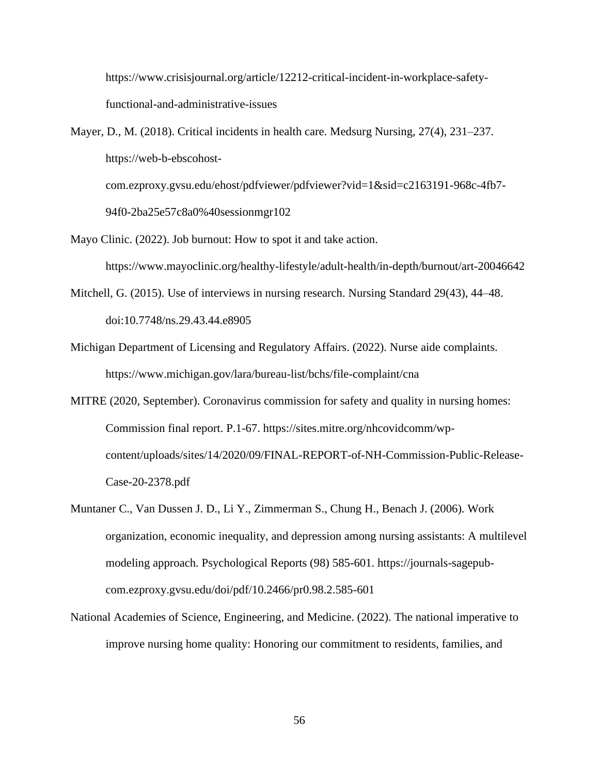https://www.crisisjournal.org/article/12212-critical-incident-in-workplace-safetyfunctional-and-administrative-issues

- Mayer, D., M. (2018). Critical incidents in health care. Medsurg Nursing, 27(4), 231–237. https://web-b-ebscohostcom.ezproxy.gvsu.edu/ehost/pdfviewer/pdfviewer?vid=1&sid=c2163191-968c-4fb7- 94f0-2ba25e57c8a0%40sessionmgr102
- Mayo Clinic. (2022). Job burnout: How to spot it and take action. https://www.mayoclinic.org/healthy-lifestyle/adult-health/in-depth/burnout/art-20046642
- Mitchell, G. (2015). Use of interviews in nursing research. Nursing Standard 29(43), 44–48. doi:10.7748/ns.29.43.44.e8905
- Michigan Department of Licensing and Regulatory Affairs. (2022). Nurse aide complaints. https://www.michigan.gov/lara/bureau-list/bchs/file-complaint/cna
- MITRE (2020, September). Coronavirus commission for safety and quality in nursing homes: Commission final report. P.1-67. https://sites.mitre.org/nhcovidcomm/wpcontent/uploads/sites/14/2020/09/FINAL-REPORT-of-NH-Commission-Public-Release-Case-20-2378.pdf
- Muntaner C., Van Dussen J. D., Li Y., Zimmerman S., Chung H., Benach J. (2006). Work organization, economic inequality, and depression among nursing assistants: A multilevel modeling approach. Psychological Reports (98) 585-601. https://journals-sagepubcom.ezproxy.gvsu.edu/doi/pdf/10.2466/pr0.98.2.585-601
- National Academies of Science, Engineering, and Medicine. (2022). The national imperative to improve nursing home quality: Honoring our commitment to residents, families, and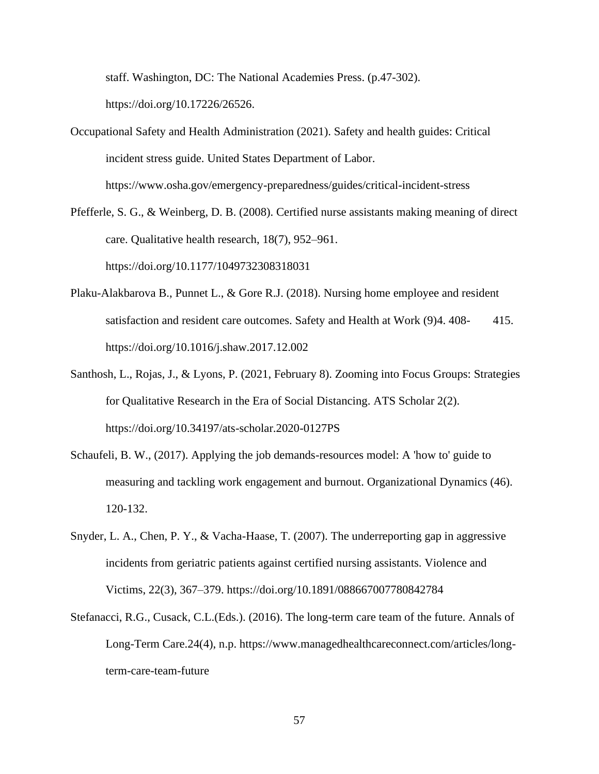staff. Washington, DC: The National Academies Press. (p.47-302). https://doi.org/10.17226/26526.

Occupational Safety and Health Administration (2021). Safety and health guides: Critical incident stress guide. United States Department of Labor. https://www.osha.gov/emergency-preparedness/guides/critical-incident-stress

- Pfefferle, S. G., & Weinberg, D. B. (2008). Certified nurse assistants making meaning of direct care. Qualitative health research, 18(7), 952–961. https://doi.org/10.1177/1049732308318031
- Plaku-Alakbarova B., Punnet L., & Gore R.J. (2018). Nursing home employee and resident satisfaction and resident care outcomes. Safety and Health at Work (9)4. 408-415. https://doi.org/10.1016/j.shaw.2017.12.002
- Santhosh, L., Rojas, J., & Lyons, P. (2021, February 8). Zooming into Focus Groups: Strategies for Qualitative Research in the Era of Social Distancing. ATS Scholar 2(2). https://doi.org/10.34197/ats-scholar.2020-0127PS
- Schaufeli, B. W., (2017). Applying the job demands-resources model: A 'how to' guide to measuring and tackling work engagement and burnout. Organizational Dynamics (46). 120-132.
- Snyder, L. A., Chen, P. Y., & Vacha-Haase, T. (2007). The underreporting gap in aggressive incidents from geriatric patients against certified nursing assistants. Violence and Victims, 22(3), 367–379[.](https://doi.org/10.1891/088667007780842784) <https://doi.org/10.1891/088667007780842784>
- Stefanacci, R.G., Cusack, C.L.(Eds.). (2016). The long-term care team of the future. Annals of Long-Term Care.24(4), n.p. https://www.managedhealthcareconnect.com/articles/longterm-care-team-future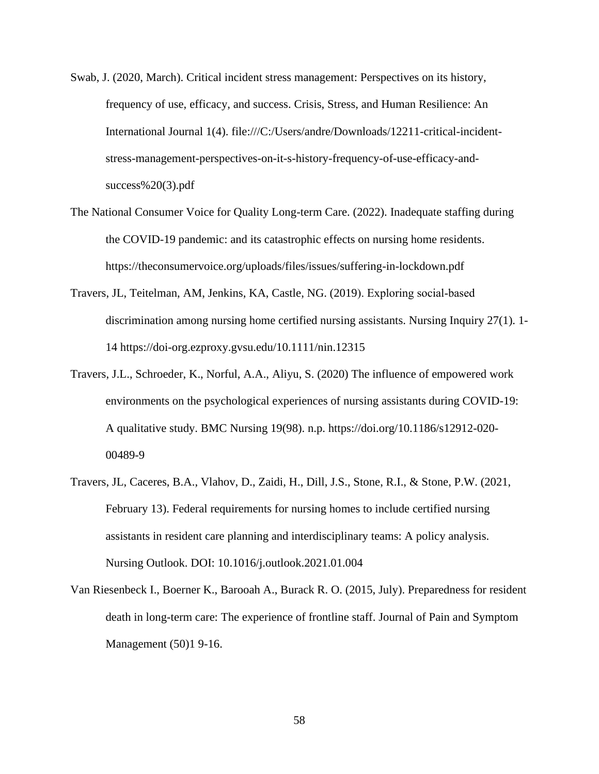- Swab, J. (2020, March). Critical incident stress management: Perspectives on its history, frequency of use, efficacy, and success. Crisis, Stress, and Human Resilience: An International Journal 1(4). file:///C:/Users/andre/Downloads/12211-critical-incidentstress-management-perspectives-on-it-s-history-frequency-of-use-efficacy-andsuccess% $20(3)$ .pdf
- The National Consumer Voice for Quality Long-term Care. (2022). Inadequate staffing during the COVID-19 pandemic: and its catastrophic effects on nursing home residents. https://theconsumervoice.org/uploads/files/issues/suffering-in-lockdown.pdf
- Travers, JL, Teitelman, AM, Jenkins, KA, Castle, NG. (2019). Exploring social‐based discrimination among nursing home certified nursing assistants. Nursing Inquiry 27(1). 1- 14 https://doi-org.ezproxy.gvsu.edu/10.1111/nin.12315
- Travers, J.L., Schroeder, K., Norful, A.A., Aliyu, S. (2020) The influence of empowered work environments on the psychological experiences of nursing assistants during COVID-19: A qualitative study. BMC Nursing 19(98). n.p. https://doi.org/10.1186/s12912-020- 00489-9
- Travers, JL, Caceres, B.A., Vlahov, D., Zaidi, H., Dill, J.S., Stone, R.I., & Stone, P.W. (2021, February 13). Federal requirements for nursing homes to include certified nursing assistants in resident care planning and interdisciplinary teams: A policy analysis. Nursing Outlook. DOI: 10.1016/j.outlook.2021.01.004
- Van Riesenbeck I., Boerner K., Barooah A., Burack R. O. (2015, July). Preparedness for resident death in long-term care: The experience of frontline staff. Journal of Pain and Symptom Management (50)1 9-16.